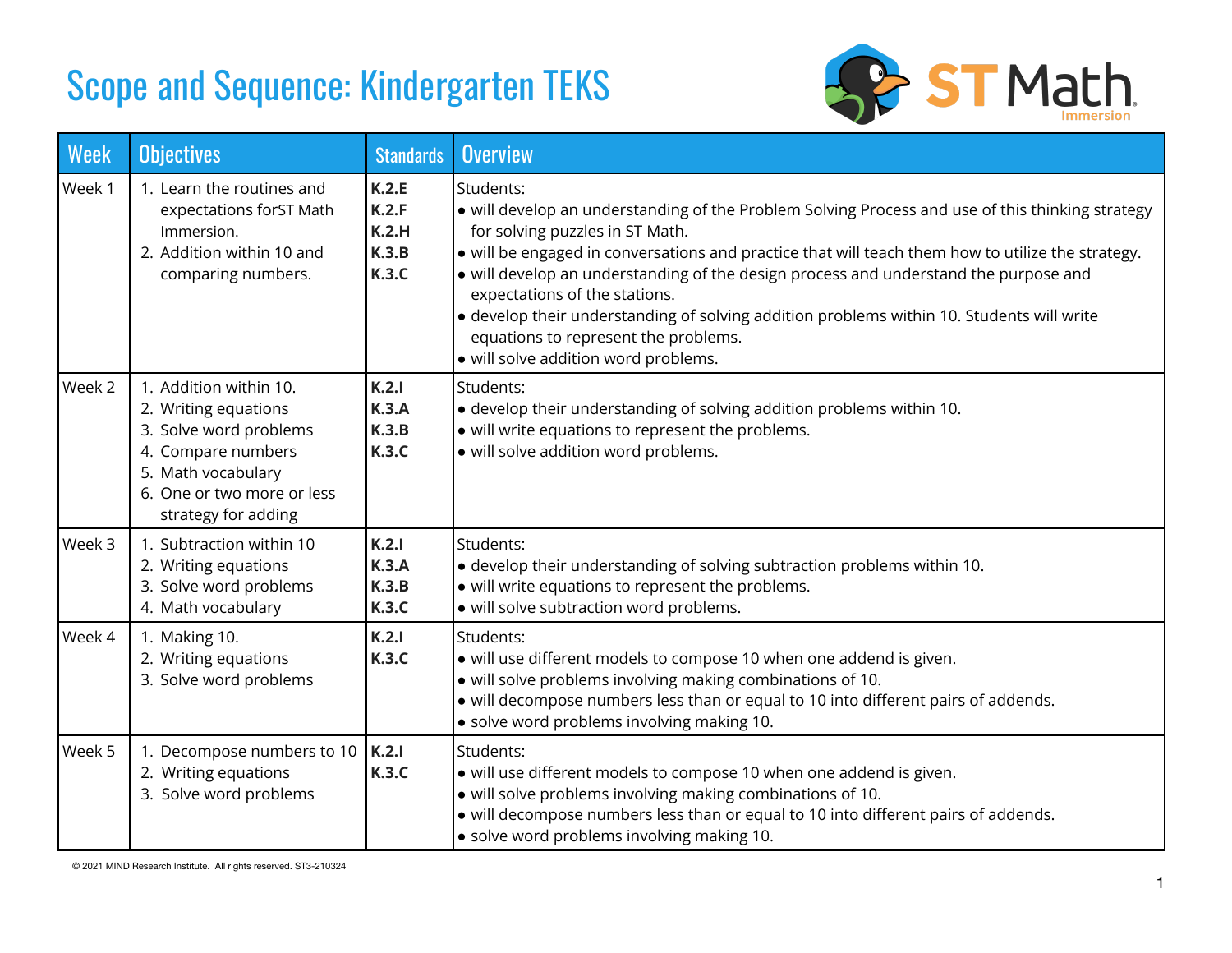# Scope and Sequence: Kindergarten TEKS



| <b>Week</b> | <b>Objectives</b>                                                                                                                                                         | <b>Standards</b>                                 | <b>Overview</b>                                                                                                                                                                                                                                                                                                                                                                                                                                                                                                                                             |
|-------------|---------------------------------------------------------------------------------------------------------------------------------------------------------------------------|--------------------------------------------------|-------------------------------------------------------------------------------------------------------------------------------------------------------------------------------------------------------------------------------------------------------------------------------------------------------------------------------------------------------------------------------------------------------------------------------------------------------------------------------------------------------------------------------------------------------------|
| Week 1      | 1. Learn the routines and<br>expectations forST Math<br>Immersion.<br>2. Addition within 10 and<br>comparing numbers.                                                     | K.2.E<br>K.2.F<br>K.2.H<br>K.3.B<br><b>K.3.C</b> | Students:<br>• will develop an understanding of the Problem Solving Process and use of this thinking strategy<br>for solving puzzles in ST Math.<br>• will be engaged in conversations and practice that will teach them how to utilize the strategy.<br>• will develop an understanding of the design process and understand the purpose and<br>expectations of the stations.<br>• develop their understanding of solving addition problems within 10. Students will write<br>equations to represent the problems.<br>· will solve addition word problems. |
| Week 2      | 1. Addition within 10.<br>2. Writing equations<br>3. Solve word problems<br>4. Compare numbers<br>5. Math vocabulary<br>6. One or two more or less<br>strategy for adding | K.2.1<br><b>K.3.A</b><br>K.3.B<br><b>K.3.C</b>   | Students:<br>• develop their understanding of solving addition problems within 10.<br>• will write equations to represent the problems.<br>· will solve addition word problems.                                                                                                                                                                                                                                                                                                                                                                             |
| Week 3      | 1. Subtraction within 10<br>2. Writing equations<br>3. Solve word problems<br>4. Math vocabulary                                                                          | K.2.1<br><b>K.3.A</b><br>K.3.B<br><b>K.3.C</b>   | Students:<br>· develop their understanding of solving subtraction problems within 10.<br>• will write equations to represent the problems.<br>· will solve subtraction word problems.                                                                                                                                                                                                                                                                                                                                                                       |
| Week 4      | 1. Making 10.<br>2. Writing equations<br>3. Solve word problems                                                                                                           | K.2.1<br><b>K.3.C</b>                            | Students:<br>• will use different models to compose 10 when one addend is given.<br>· will solve problems involving making combinations of 10.<br>• will decompose numbers less than or equal to 10 into different pairs of addends.<br>• solve word problems involving making 10.                                                                                                                                                                                                                                                                          |
| Week 5      | 1. Decompose numbers to 10<br>2. Writing equations<br>3. Solve word problems                                                                                              | K.2.1<br>K.3.C                                   | Students:<br>• will use different models to compose 10 when one addend is given.<br>· will solve problems involving making combinations of 10.<br>• will decompose numbers less than or equal to 10 into different pairs of addends.<br>• solve word problems involving making 10.                                                                                                                                                                                                                                                                          |

© 2021 MIND Research Institute. All rights reserved. ST3-210324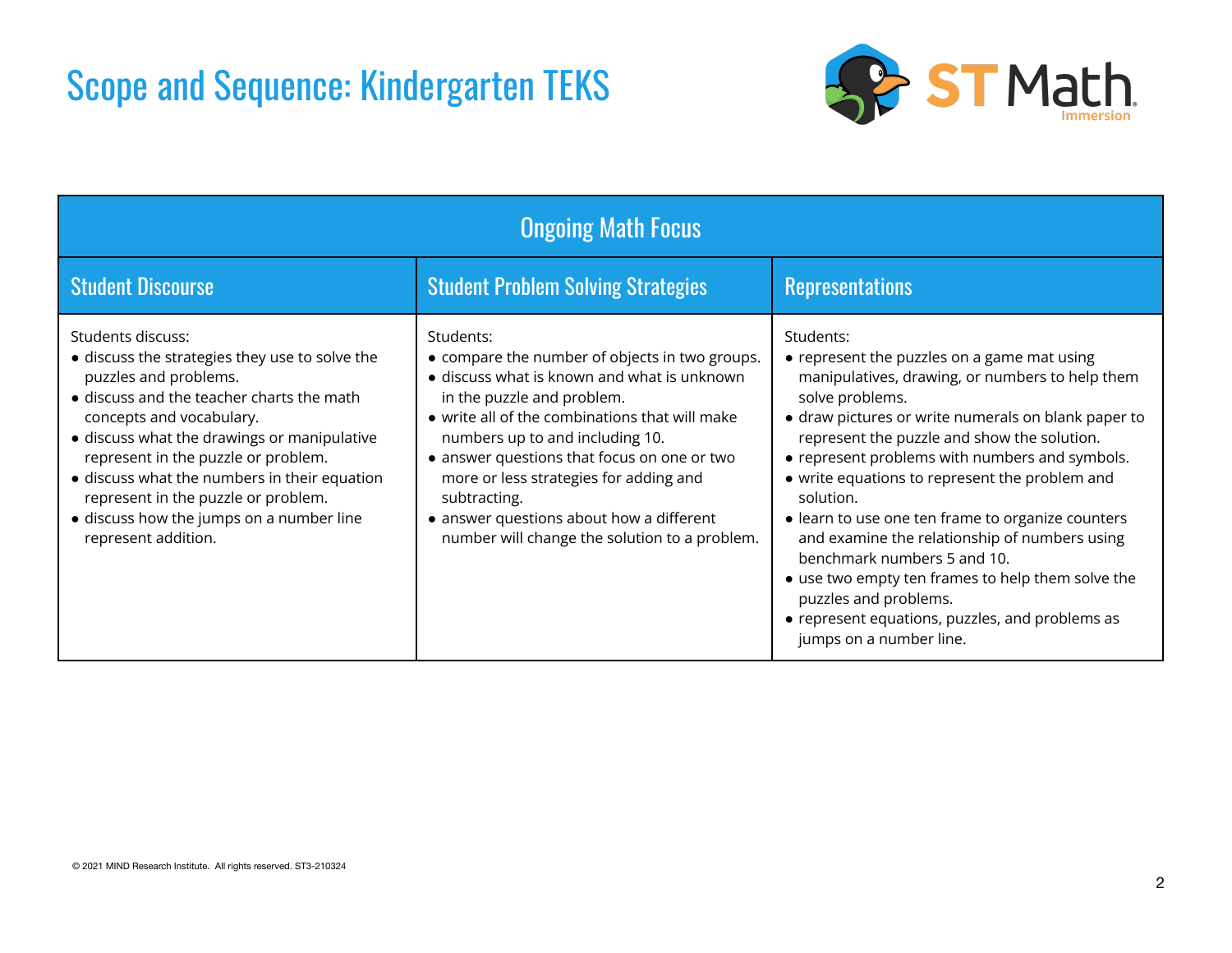### Scope and Sequence: Kindergarten TEKS



| <b>Ongoing Math Focus</b>                                                                                                                                                                                                                                                                                                                                                                                             |                                                                                                                                                                                                                                                                                                                                                                                                                                     |                                                                                                                                                                                                                                                                                                                                                                                                                                                                                                                                                                                                                                                        |  |  |
|-----------------------------------------------------------------------------------------------------------------------------------------------------------------------------------------------------------------------------------------------------------------------------------------------------------------------------------------------------------------------------------------------------------------------|-------------------------------------------------------------------------------------------------------------------------------------------------------------------------------------------------------------------------------------------------------------------------------------------------------------------------------------------------------------------------------------------------------------------------------------|--------------------------------------------------------------------------------------------------------------------------------------------------------------------------------------------------------------------------------------------------------------------------------------------------------------------------------------------------------------------------------------------------------------------------------------------------------------------------------------------------------------------------------------------------------------------------------------------------------------------------------------------------------|--|--|
| <b>Student Discourse</b>                                                                                                                                                                                                                                                                                                                                                                                              | <b>Student Problem Solving Strategies</b>                                                                                                                                                                                                                                                                                                                                                                                           | <b>Representations</b>                                                                                                                                                                                                                                                                                                                                                                                                                                                                                                                                                                                                                                 |  |  |
| Students discuss:<br>• discuss the strategies they use to solve the<br>puzzles and problems.<br>• discuss and the teacher charts the math<br>concepts and vocabulary.<br>• discuss what the drawings or manipulative<br>represent in the puzzle or problem.<br>• discuss what the numbers in their equation<br>represent in the puzzle or problem.<br>• discuss how the jumps on a number line<br>represent addition. | Students:<br>• compare the number of objects in two groups.<br>• discuss what is known and what is unknown<br>in the puzzle and problem.<br>• write all of the combinations that will make<br>numbers up to and including 10.<br>• answer questions that focus on one or two<br>more or less strategies for adding and<br>subtracting.<br>• answer questions about how a different<br>number will change the solution to a problem. | Students:<br>• represent the puzzles on a game mat using<br>manipulatives, drawing, or numbers to help them<br>solve problems.<br>• draw pictures or write numerals on blank paper to<br>represent the puzzle and show the solution.<br>• represent problems with numbers and symbols.<br>• write equations to represent the problem and<br>solution.<br>• learn to use one ten frame to organize counters<br>and examine the relationship of numbers using<br>benchmark numbers 5 and 10.<br>• use two empty ten frames to help them solve the<br>puzzles and problems.<br>• represent equations, puzzles, and problems as<br>jumps on a number line. |  |  |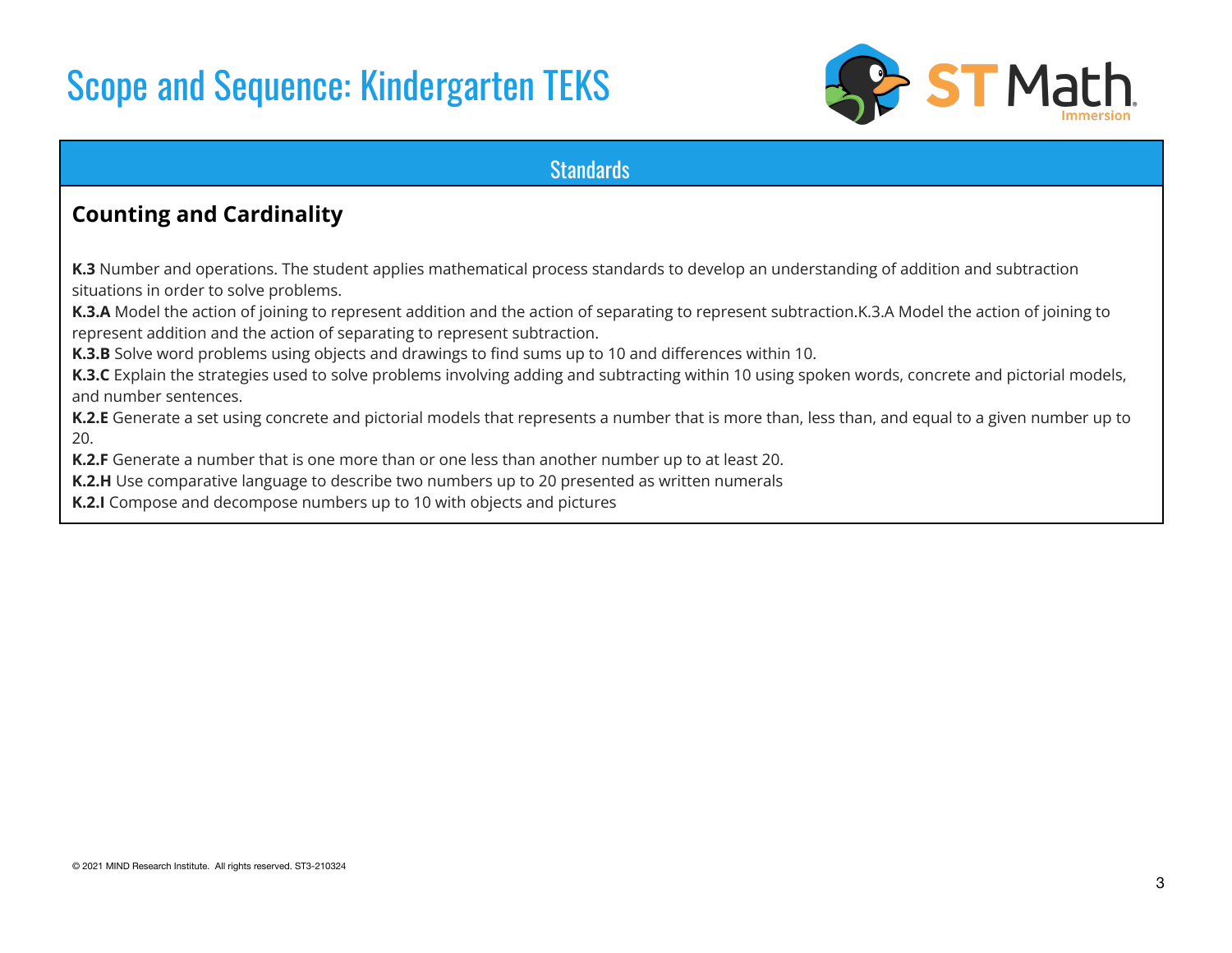### Scope and Sequence: Kindergarten TEKS



#### **Standards**

### **Counting and Cardinality**

**K.3** Number and operations. The student applies mathematical process standards to develop an understanding of addition and subtraction situations in order to solve problems.

**K.3.A** Model the action of joining to represent addition and the action of separating to represent subtraction.K.3.A Model the action of joining to represent addition and the action of separating to represent subtraction.

**K.3.B** Solve word problems using objects and drawings to find sums up to 10 and differences within 10.

**K.3.C** Explain the strategies used to solve problems involving adding and subtracting within 10 using spoken words, concrete and pictorial models, and number sentences.

**K.2.E** Generate a set using concrete and pictorial models that represents a number that is more than, less than, and equal to a given number up to 20.

**K.2.F** Generate a number that is one more than or one less than another number up to at least 20.

**K.2.H** Use comparative language to describe two numbers up to 20 presented as written numerals

**K.2.I** Compose and decompose numbers up to 10 with objects and pictures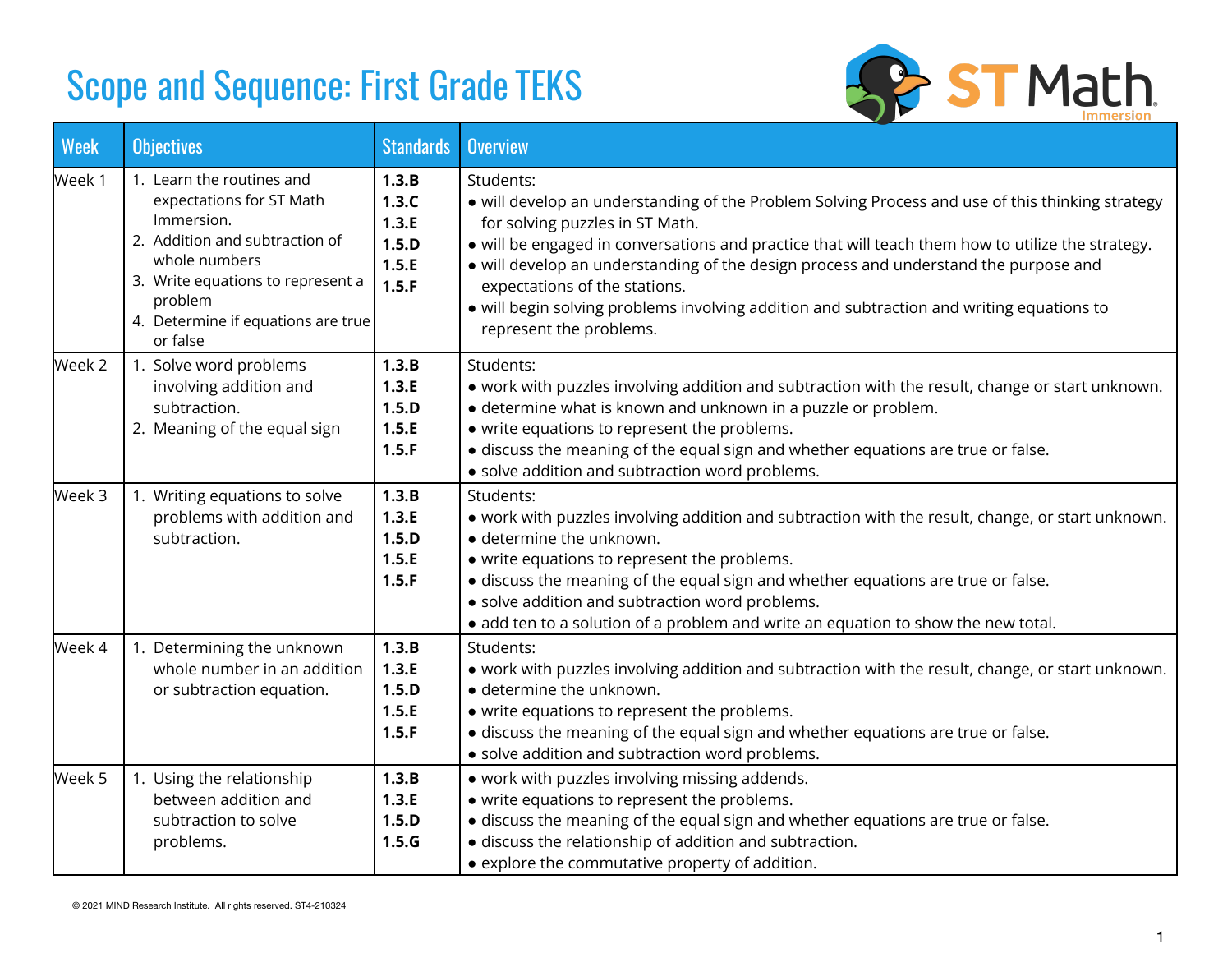

| <b>Week</b> | <b>Objectives</b>                                                                                                                                                                                                        | <b>Standards</b>                                   | <b>Overview</b>                                                                                                                                                                                                                                                                                                                                                                                                                                                                                        |
|-------------|--------------------------------------------------------------------------------------------------------------------------------------------------------------------------------------------------------------------------|----------------------------------------------------|--------------------------------------------------------------------------------------------------------------------------------------------------------------------------------------------------------------------------------------------------------------------------------------------------------------------------------------------------------------------------------------------------------------------------------------------------------------------------------------------------------|
| Week 1      | 1. Learn the routines and<br>expectations for ST Math<br>Immersion.<br>2. Addition and subtraction of<br>whole numbers<br>3. Write equations to represent a<br>problem<br>4. Determine if equations are true<br>or false | 1.3.B<br>1.3.C<br>1.3.E<br>1.5.D<br>1.5.E<br>1.5.F | Students:<br>• will develop an understanding of the Problem Solving Process and use of this thinking strategy<br>for solving puzzles in ST Math.<br>• will be engaged in conversations and practice that will teach them how to utilize the strategy.<br>• will develop an understanding of the design process and understand the purpose and<br>expectations of the stations.<br>· will begin solving problems involving addition and subtraction and writing equations to<br>represent the problems. |
| Week 2      | 1. Solve word problems<br>involving addition and<br>subtraction.<br>2. Meaning of the equal sign                                                                                                                         | 1.3.B<br>1.3.E<br>1.5.D<br>1.5.E<br>1.5.F          | Students:<br>• work with puzzles involving addition and subtraction with the result, change or start unknown.<br>• determine what is known and unknown in a puzzle or problem.<br>• write equations to represent the problems.<br>· discuss the meaning of the equal sign and whether equations are true or false.<br>· solve addition and subtraction word problems.                                                                                                                                  |
| Week 3      | 1. Writing equations to solve<br>problems with addition and<br>subtraction.                                                                                                                                              | 1.3.B<br>1.3.E<br>1.5.D<br>1.5.E<br>1.5.F          | Students:<br>• work with puzzles involving addition and subtraction with the result, change, or start unknown.<br>· determine the unknown.<br>• write equations to represent the problems.<br>· discuss the meaning of the equal sign and whether equations are true or false.<br>· solve addition and subtraction word problems.<br>• add ten to a solution of a problem and write an equation to show the new total.                                                                                 |
| Week 4      | 1. Determining the unknown<br>whole number in an addition<br>or subtraction equation.                                                                                                                                    | 1.3.B<br>1.3.E<br>1.5.D<br>1.5.E<br>1.5.F          | Students:<br>• work with puzzles involving addition and subtraction with the result, change, or start unknown.<br>· determine the unknown.<br>• write equations to represent the problems.<br>• discuss the meaning of the equal sign and whether equations are true or false.<br>· solve addition and subtraction word problems.                                                                                                                                                                      |
| Week 5      | 1. Using the relationship<br>between addition and<br>subtraction to solve<br>problems.                                                                                                                                   | 1.3.B<br>1.3.E<br>1.5.D<br>1.5.G                   | • work with puzzles involving missing addends.<br>• write equations to represent the problems.<br>· discuss the meaning of the equal sign and whether equations are true or false.<br>· discuss the relationship of addition and subtraction.<br>• explore the commutative property of addition.                                                                                                                                                                                                       |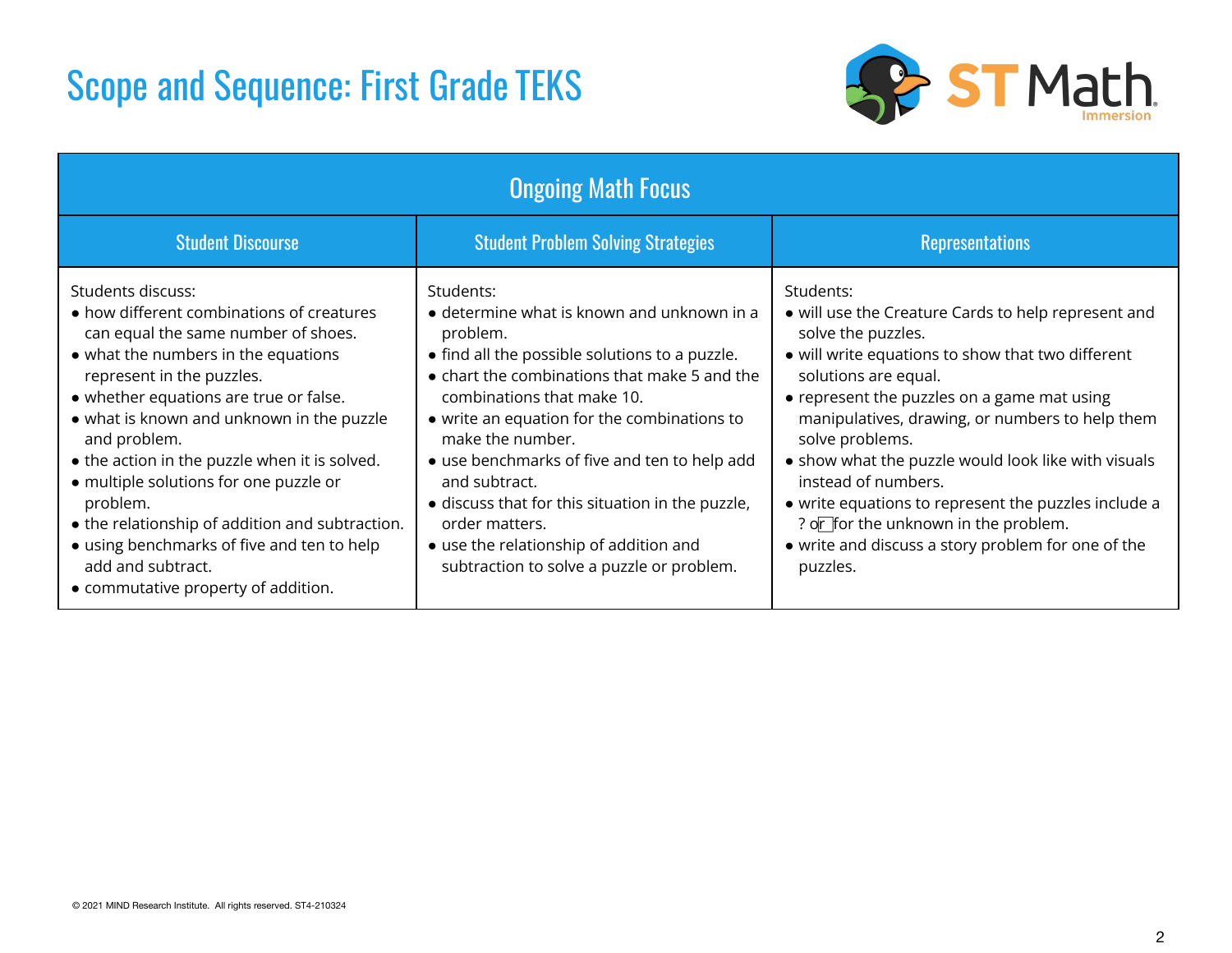

| <b>Ongoing Math Focus</b>                                                                                                                                                                                                                                                                                                                                                                                                                                                                                                                            |                                                                                                                                                                                                                                                                                                                                                                                                                                                                                                              |                                                                                                                                                                                                                                                                                                                                                                                                                                                                                                                                          |  |
|------------------------------------------------------------------------------------------------------------------------------------------------------------------------------------------------------------------------------------------------------------------------------------------------------------------------------------------------------------------------------------------------------------------------------------------------------------------------------------------------------------------------------------------------------|--------------------------------------------------------------------------------------------------------------------------------------------------------------------------------------------------------------------------------------------------------------------------------------------------------------------------------------------------------------------------------------------------------------------------------------------------------------------------------------------------------------|------------------------------------------------------------------------------------------------------------------------------------------------------------------------------------------------------------------------------------------------------------------------------------------------------------------------------------------------------------------------------------------------------------------------------------------------------------------------------------------------------------------------------------------|--|
| <b>Student Discourse</b>                                                                                                                                                                                                                                                                                                                                                                                                                                                                                                                             | <b>Student Problem Solving Strategies</b>                                                                                                                                                                                                                                                                                                                                                                                                                                                                    | <b>Representations</b>                                                                                                                                                                                                                                                                                                                                                                                                                                                                                                                   |  |
| Students discuss:<br>• how different combinations of creatures<br>can equal the same number of shoes.<br>• what the numbers in the equations<br>represent in the puzzles.<br>• whether equations are true or false.<br>• what is known and unknown in the puzzle<br>and problem.<br>• the action in the puzzle when it is solved.<br>• multiple solutions for one puzzle or<br>problem.<br>• the relationship of addition and subtraction.<br>• using benchmarks of five and ten to help<br>add and subtract.<br>• commutative property of addition. | Students:<br>$\bullet$ determine what is known and unknown in a<br>problem.<br>• find all the possible solutions to a puzzle.<br>• chart the combinations that make 5 and the<br>combinations that make 10.<br>• write an equation for the combinations to<br>make the number.<br>• use benchmarks of five and ten to help add<br>and subtract.<br>• discuss that for this situation in the puzzle,<br>order matters.<br>• use the relationship of addition and<br>subtraction to solve a puzzle or problem. | Students:<br>• will use the Creature Cards to help represent and<br>solve the puzzles.<br>• will write equations to show that two different<br>solutions are equal.<br>• represent the puzzles on a game mat using<br>manipulatives, drawing, or numbers to help them<br>solve problems.<br>• show what the puzzle would look like with visuals<br>instead of numbers.<br>• write equations to represent the puzzles include a<br>? or for the unknown in the problem.<br>• write and discuss a story problem for one of the<br>puzzles. |  |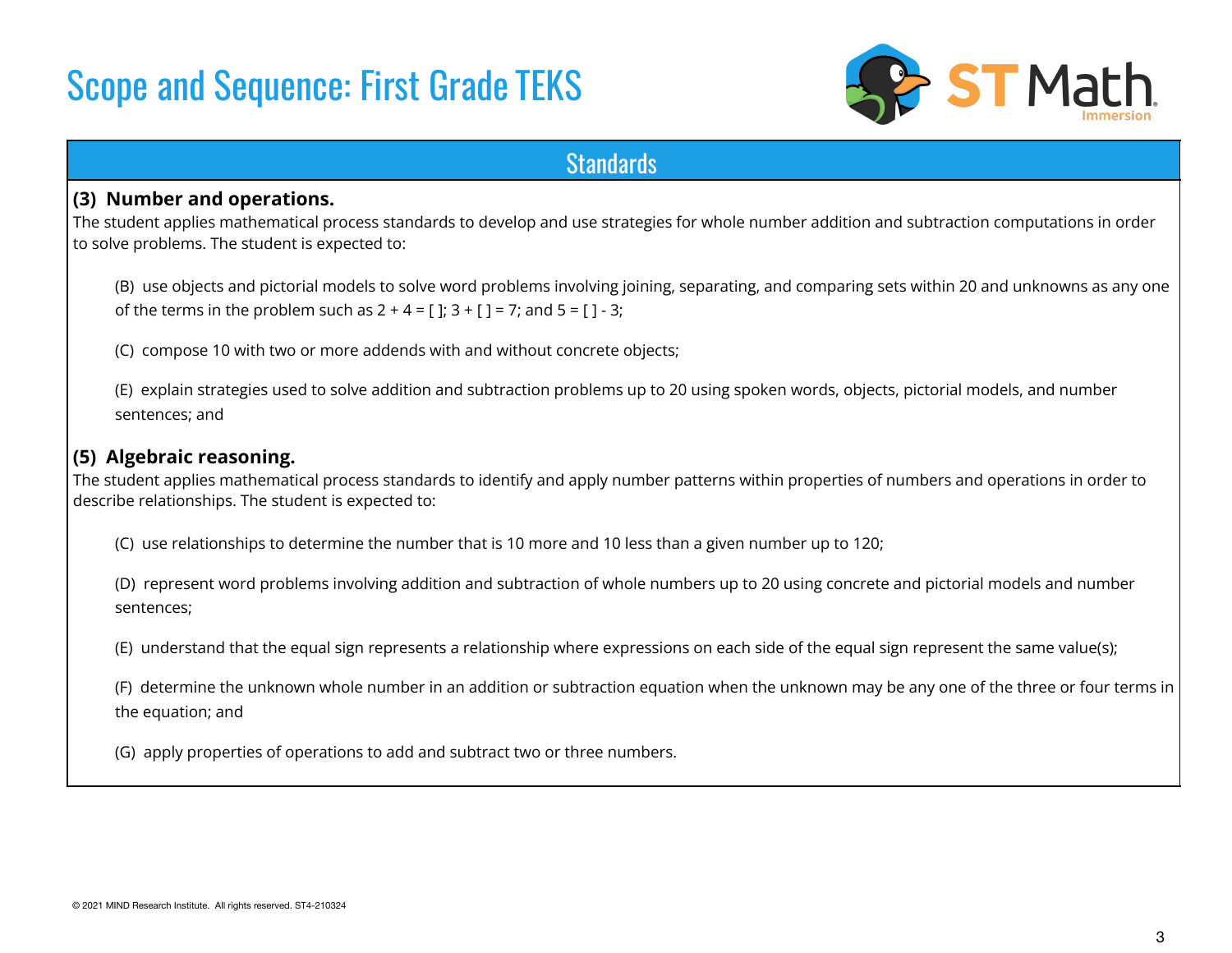

### **Standards**

#### **(3) Number and operations.**

The student applies mathematical process standards to develop and use strategies for whole number addition and subtraction computations in order to solve problems. The student is expected to:

(B) use objects and pictorial models to solve word problems involving joining, separating, and comparing sets within 20 and unknowns as any one of the terms in the problem such as  $2 + 4 = 1$ ;  $3 + 1 = 7$ ; and  $5 = 1 - 3$ ;

(C) compose 10 with two or more addends with and without concrete objects;

(E) explain strategies used to solve addition and subtraction problems up to 20 using spoken words, objects, pictorial models, and number sentences; and

#### **(5) Algebraic reasoning.**

The student applies mathematical process standards to identify and apply number patterns within properties of numbers and operations in order to describe relationships. The student is expected to:

(C) use relationships to determine the number that is 10 more and 10 less than a given number up to 120;

(D) represent word problems involving addition and subtraction of whole numbers up to 20 using concrete and pictorial models and number sentences;

(E) understand that the equal sign represents a relationship where expressions on each side of the equal sign represent the same value(s);

(F) determine the unknown whole number in an addition or subtraction equation when the unknown may be any one of the three or four terms in the equation; and

(G) apply properties of operations to add and subtract two or three numbers.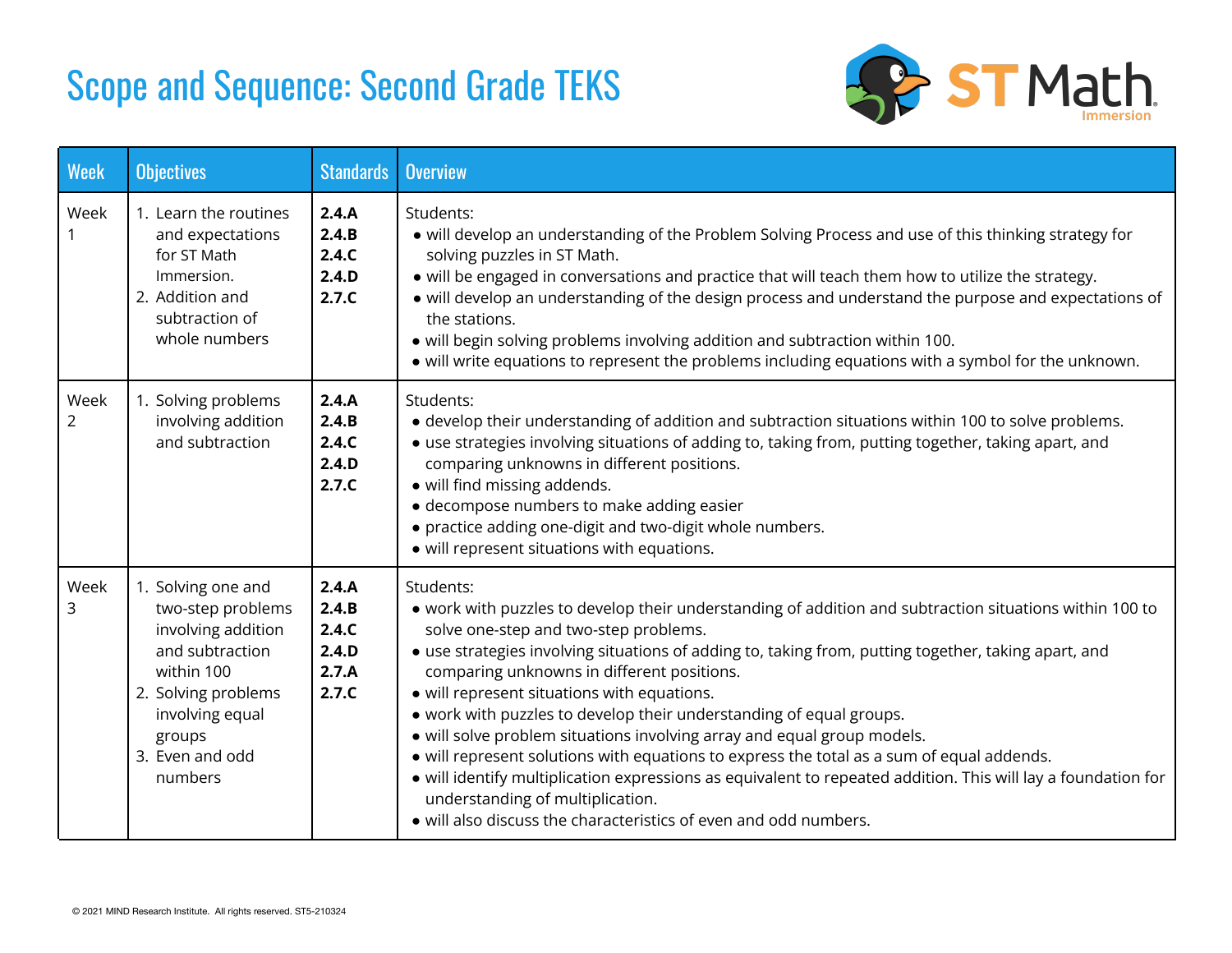

| <b>Week</b> | <b>Objectives</b>                                                                                                                                                                | <b>Standards</b>                                   | <b>Overview</b>                                                                                                                                                                                                                                                                                                                                                                                                                                                                                                                                                                                                                                                                                                                                                                                                                            |  |
|-------------|----------------------------------------------------------------------------------------------------------------------------------------------------------------------------------|----------------------------------------------------|--------------------------------------------------------------------------------------------------------------------------------------------------------------------------------------------------------------------------------------------------------------------------------------------------------------------------------------------------------------------------------------------------------------------------------------------------------------------------------------------------------------------------------------------------------------------------------------------------------------------------------------------------------------------------------------------------------------------------------------------------------------------------------------------------------------------------------------------|--|
| Week        | 1. Learn the routines<br>and expectations<br>for ST Math<br>Immersion.<br>2. Addition and<br>subtraction of<br>whole numbers                                                     | 2.4.A<br>2.4.B<br>2.4.C<br>2.4.D<br>2.7.C          | Students:<br>• will develop an understanding of the Problem Solving Process and use of this thinking strategy for<br>solving puzzles in ST Math.<br>• will be engaged in conversations and practice that will teach them how to utilize the strategy.<br>• will develop an understanding of the design process and understand the purpose and expectations of<br>the stations.<br>• will begin solving problems involving addition and subtraction within 100.<br>• will write equations to represent the problems including equations with a symbol for the unknown.                                                                                                                                                                                                                                                                      |  |
| Week<br>2   | 1. Solving problems<br>involving addition<br>and subtraction                                                                                                                     | 2.4.A<br>2.4.B<br>2.4.C<br>2.4.D<br>2.7.C          | Students:<br>• develop their understanding of addition and subtraction situations within 100 to solve problems.<br>• use strategies involving situations of adding to, taking from, putting together, taking apart, and<br>comparing unknowns in different positions.<br>· will find missing addends.<br>· decompose numbers to make adding easier<br>• practice adding one-digit and two-digit whole numbers.<br>• will represent situations with equations.                                                                                                                                                                                                                                                                                                                                                                              |  |
| Week<br>3   | 1. Solving one and<br>two-step problems<br>involving addition<br>and subtraction<br>within 100<br>2. Solving problems<br>involving equal<br>groups<br>3. Even and odd<br>numbers | 2.4.A<br>2.4.B<br>2.4.C<br>2.4.D<br>2.7.A<br>2.7.C | Students:<br>. work with puzzles to develop their understanding of addition and subtraction situations within 100 to<br>solve one-step and two-step problems.<br>• use strategies involving situations of adding to, taking from, putting together, taking apart, and<br>comparing unknowns in different positions.<br>• will represent situations with equations.<br>. work with puzzles to develop their understanding of equal groups.<br>• will solve problem situations involving array and equal group models.<br>• will represent solutions with equations to express the total as a sum of equal addends.<br>· will identify multiplication expressions as equivalent to repeated addition. This will lay a foundation for<br>understanding of multiplication.<br>• will also discuss the characteristics of even and odd numbers. |  |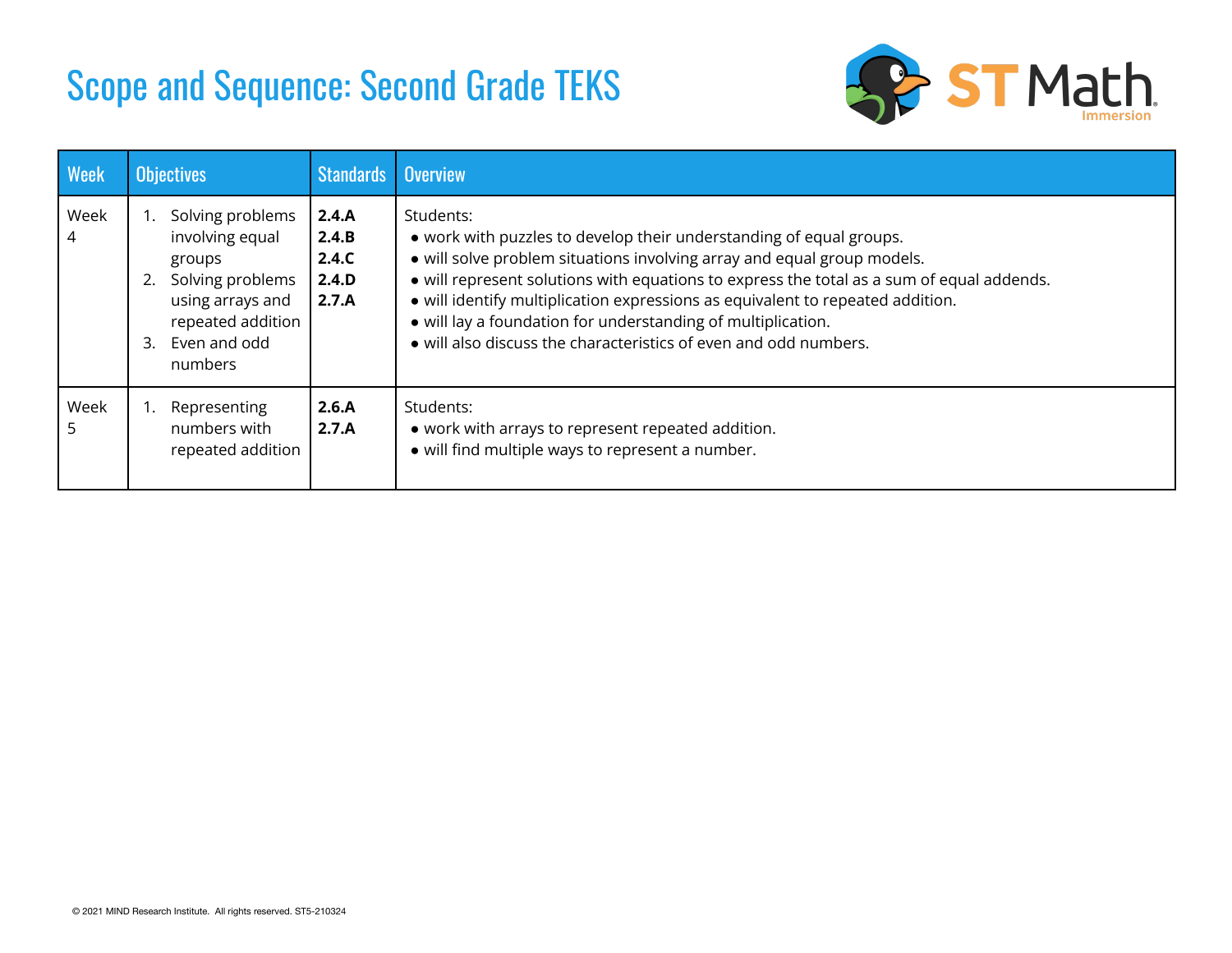

| <b>Week</b> | Objectives                                                                                                                                  | <b>Standards</b>                          | <b>Overview</b>                                                                                                                                                                                                                                                                                                                                                                                                                                                                |
|-------------|---------------------------------------------------------------------------------------------------------------------------------------------|-------------------------------------------|--------------------------------------------------------------------------------------------------------------------------------------------------------------------------------------------------------------------------------------------------------------------------------------------------------------------------------------------------------------------------------------------------------------------------------------------------------------------------------|
| Week<br>4   | Solving problems<br>involving equal<br>groups<br>Solving problems<br>using arrays and<br>repeated addition<br>Even and odd<br>3.<br>numbers | 2.4.A<br>2.4.B<br>2.4.C<br>2.4.D<br>2.7.A | Students:<br>• work with puzzles to develop their understanding of equal groups.<br>• will solve problem situations involving array and equal group models.<br>• will represent solutions with equations to express the total as a sum of equal addends.<br>• will identify multiplication expressions as equivalent to repeated addition.<br>• will lay a foundation for understanding of multiplication.<br>• will also discuss the characteristics of even and odd numbers. |
| Week<br>5   | Representing<br>numbers with<br>repeated addition                                                                                           | 2.6.A<br>2.7.A                            | Students:<br>• work with arrays to represent repeated addition.<br>• will find multiple ways to represent a number.                                                                                                                                                                                                                                                                                                                                                            |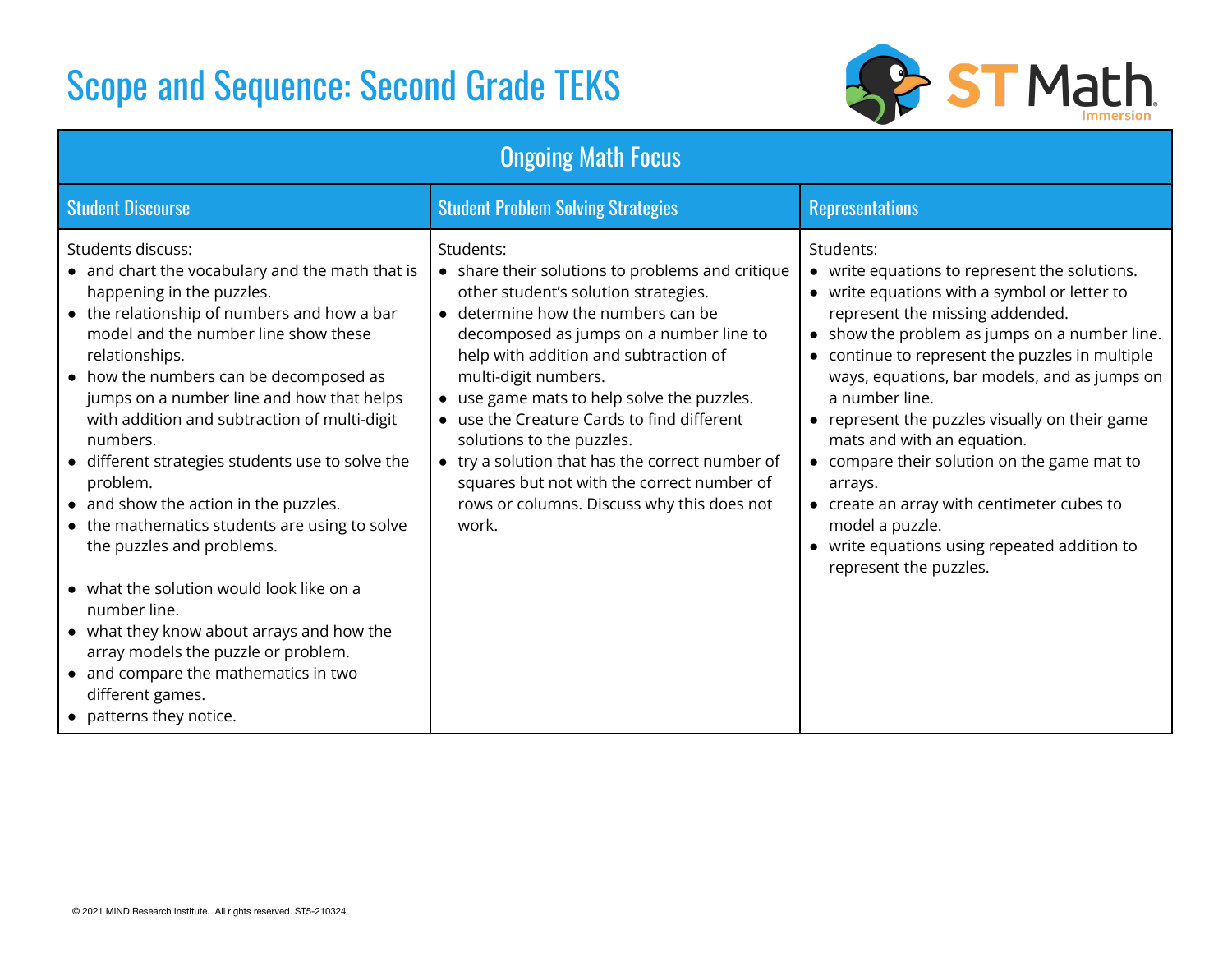

| <b>Ongoing Math Focus</b>                                                                                                                                                                                                                                                                                                                                                                                                                                                                                                                                                                                                                                                                                                                                                                   |                                                                                                                                                                                                                                                                                                                                                                                                                                                                                                                                          |                                                                                                                                                                                                                                                                                                                                                                                                                                                                                                                                                                                                          |  |  |  |
|---------------------------------------------------------------------------------------------------------------------------------------------------------------------------------------------------------------------------------------------------------------------------------------------------------------------------------------------------------------------------------------------------------------------------------------------------------------------------------------------------------------------------------------------------------------------------------------------------------------------------------------------------------------------------------------------------------------------------------------------------------------------------------------------|------------------------------------------------------------------------------------------------------------------------------------------------------------------------------------------------------------------------------------------------------------------------------------------------------------------------------------------------------------------------------------------------------------------------------------------------------------------------------------------------------------------------------------------|----------------------------------------------------------------------------------------------------------------------------------------------------------------------------------------------------------------------------------------------------------------------------------------------------------------------------------------------------------------------------------------------------------------------------------------------------------------------------------------------------------------------------------------------------------------------------------------------------------|--|--|--|
| <b>Student Discourse</b>                                                                                                                                                                                                                                                                                                                                                                                                                                                                                                                                                                                                                                                                                                                                                                    | <b>Student Problem Solving Strategies</b>                                                                                                                                                                                                                                                                                                                                                                                                                                                                                                | <b>Representations</b>                                                                                                                                                                                                                                                                                                                                                                                                                                                                                                                                                                                   |  |  |  |
| Students discuss:<br>• and chart the vocabulary and the math that is<br>happening in the puzzles.<br>• the relationship of numbers and how a bar<br>model and the number line show these<br>relationships.<br>• how the numbers can be decomposed as<br>jumps on a number line and how that helps<br>with addition and subtraction of multi-digit<br>numbers.<br>• different strategies students use to solve the<br>problem.<br>• and show the action in the puzzles.<br>• the mathematics students are using to solve<br>the puzzles and problems.<br>• what the solution would look like on a<br>number line.<br>• what they know about arrays and how the<br>array models the puzzle or problem.<br>• and compare the mathematics in two<br>different games.<br>• patterns they notice. | Students:<br>• share their solutions to problems and critique<br>other student's solution strategies.<br>• determine how the numbers can be<br>decomposed as jumps on a number line to<br>help with addition and subtraction of<br>multi-digit numbers.<br>• use game mats to help solve the puzzles.<br>• use the Creature Cards to find different<br>solutions to the puzzles.<br>• try a solution that has the correct number of<br>squares but not with the correct number of<br>rows or columns. Discuss why this does not<br>work. | Students:<br>• write equations to represent the solutions.<br>• write equations with a symbol or letter to<br>represent the missing addended.<br>• show the problem as jumps on a number line.<br>• continue to represent the puzzles in multiple<br>ways, equations, bar models, and as jumps on<br>a number line.<br>• represent the puzzles visually on their game<br>mats and with an equation.<br>• compare their solution on the game mat to<br>arrays.<br>• create an array with centimeter cubes to<br>model a puzzle.<br>• write equations using repeated addition to<br>represent the puzzles. |  |  |  |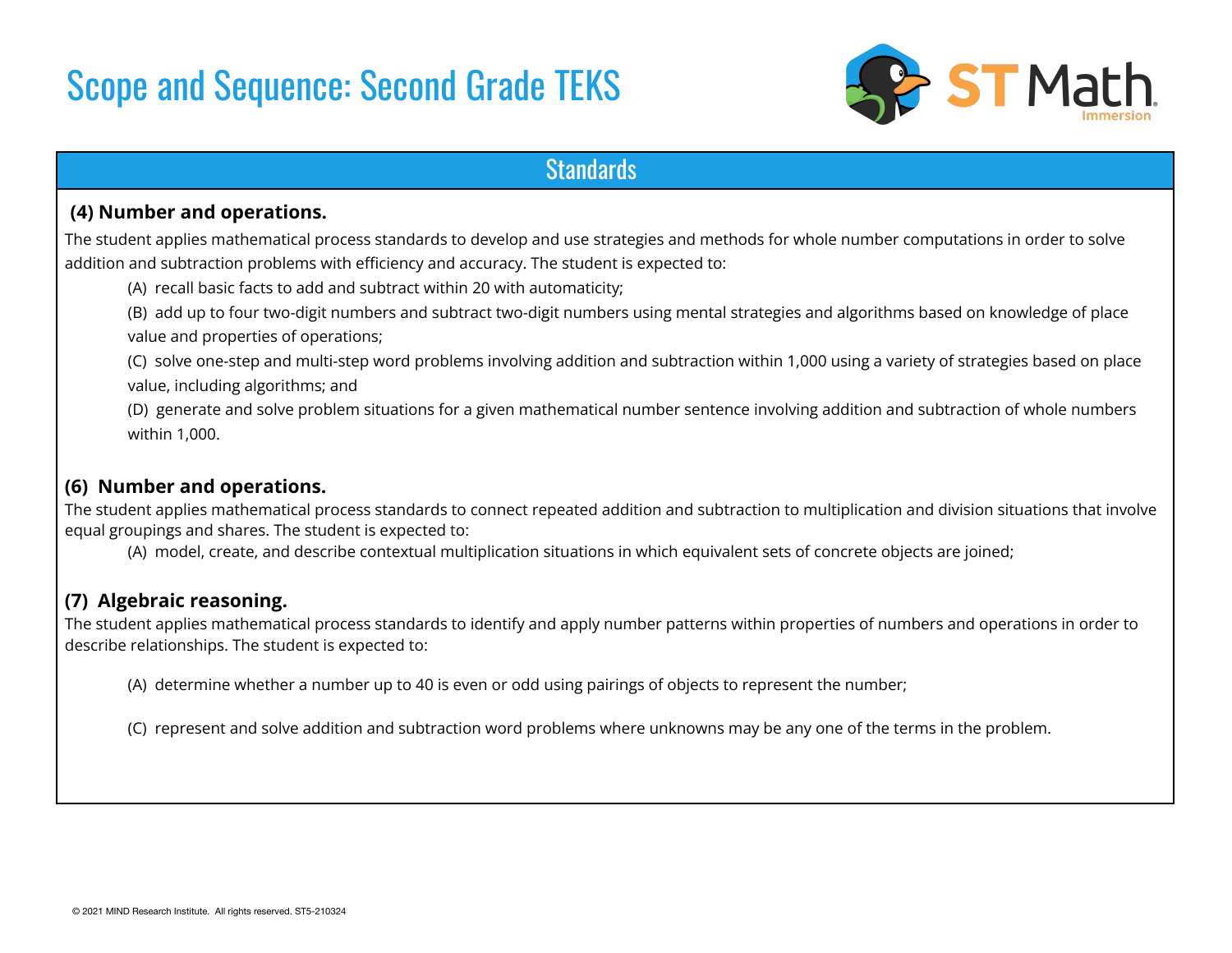

### **Standards**

#### **(4) Number and operations.**

The student applies mathematical process standards to develop and use strategies and methods for whole number computations in order to solve addition and subtraction problems with efficiency and accuracy. The student is expected to:

(A) recall basic facts to add and subtract within 20 with automaticity;

(B) add up to four two-digit numbers and subtract two-digit numbers using mental strategies and algorithms based on knowledge of place value and properties of operations;

(C) solve one-step and multi-step word problems involving addition and subtraction within 1,000 using a variety of strategies based on place value, including algorithms; and

(D) generate and solve problem situations for a given mathematical number sentence involving addition and subtraction of whole numbers within 1,000.

#### **(6) Number and operations.**

The student applies mathematical process standards to connect repeated addition and subtraction to multiplication and division situations that involve equal groupings and shares. The student is expected to:

(A) model, create, and describe contextual multiplication situations in which equivalent sets of concrete objects are joined;

#### **(7) Algebraic reasoning.**

The student applies mathematical process standards to identify and apply number patterns within properties of numbers and operations in order to describe relationships. The student is expected to:

(A) determine whether a number up to 40 is even or odd using pairings of objects to represent the number;

(C) represent and solve addition and subtraction word problems where unknowns may be any one of the terms in the problem.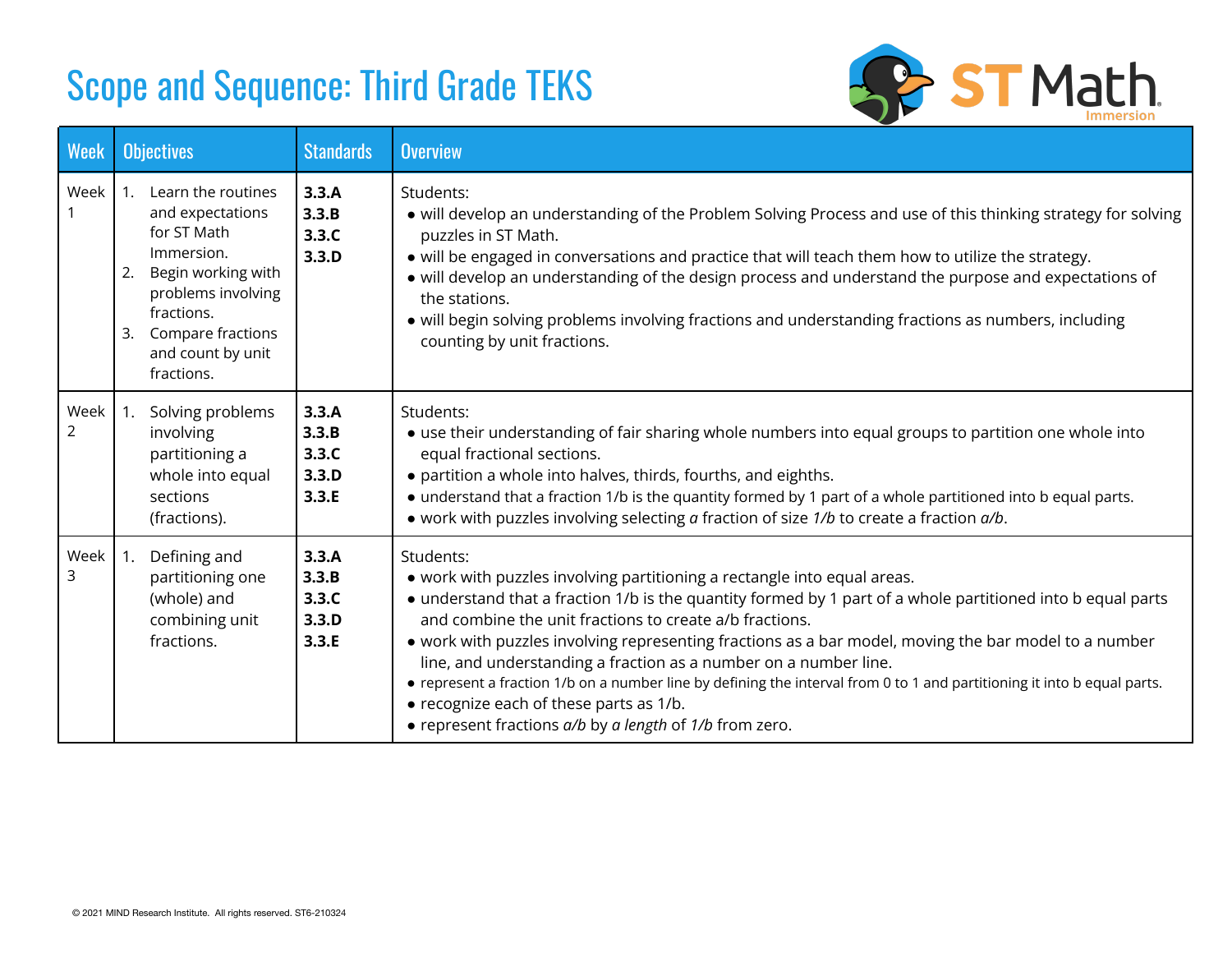

| <b>Week</b>            | <b>Objectives</b>                                                                                                                                                                                    | <b>Standards</b>                          | <b>Overview</b>                                                                                                                                                                                                                                                                                                                                                                                                                                                                                                                                                                                                                                                                |
|------------------------|------------------------------------------------------------------------------------------------------------------------------------------------------------------------------------------------------|-------------------------------------------|--------------------------------------------------------------------------------------------------------------------------------------------------------------------------------------------------------------------------------------------------------------------------------------------------------------------------------------------------------------------------------------------------------------------------------------------------------------------------------------------------------------------------------------------------------------------------------------------------------------------------------------------------------------------------------|
| Week                   | 1. Learn the routines<br>and expectations<br>for ST Math<br>Immersion.<br>Begin working with<br>2.<br>problems involving<br>fractions.<br>Compare fractions<br>3.<br>and count by unit<br>fractions. | 3.3.A<br>3.3.B<br>3.3.C<br>3.3.D          | Students:<br>• will develop an understanding of the Problem Solving Process and use of this thinking strategy for solving<br>puzzles in ST Math.<br>• will be engaged in conversations and practice that will teach them how to utilize the strategy.<br>• will develop an understanding of the design process and understand the purpose and expectations of<br>the stations.<br>• will begin solving problems involving fractions and understanding fractions as numbers, including<br>counting by unit fractions.                                                                                                                                                           |
| Week<br>$\overline{2}$ | Solving problems<br>involving<br>partitioning a<br>whole into equal<br>sections<br>(fractions).                                                                                                      | 3.3.A<br>3.3.B<br>3.3.C<br>3.3.D<br>3.3.E | Students:<br>• use their understanding of fair sharing whole numbers into equal groups to partition one whole into<br>equal fractional sections.<br>• partition a whole into halves, thirds, fourths, and eighths.<br>• understand that a fraction 1/b is the quantity formed by 1 part of a whole partitioned into b equal parts.<br>• work with puzzles involving selecting a fraction of size 1/b to create a fraction a/b.                                                                                                                                                                                                                                                 |
| Week<br>3              | Defining and<br>(1, 1)<br>partitioning one<br>(whole) and<br>combining unit<br>fractions.                                                                                                            | 3.3.A<br>3.3.B<br>3.3.C<br>3.3.D<br>3.3.E | Students:<br>• work with puzzles involving partitioning a rectangle into equal areas.<br>• understand that a fraction 1/b is the quantity formed by 1 part of a whole partitioned into b equal parts<br>and combine the unit fractions to create a/b fractions.<br>• work with puzzles involving representing fractions as a bar model, moving the bar model to a number<br>line, and understanding a fraction as a number on a number line.<br>• represent a fraction 1/b on a number line by defining the interval from 0 to 1 and partitioning it into b equal parts.<br>• recognize each of these parts as 1/b.<br>• represent fractions a/b by a length of 1/b from zero. |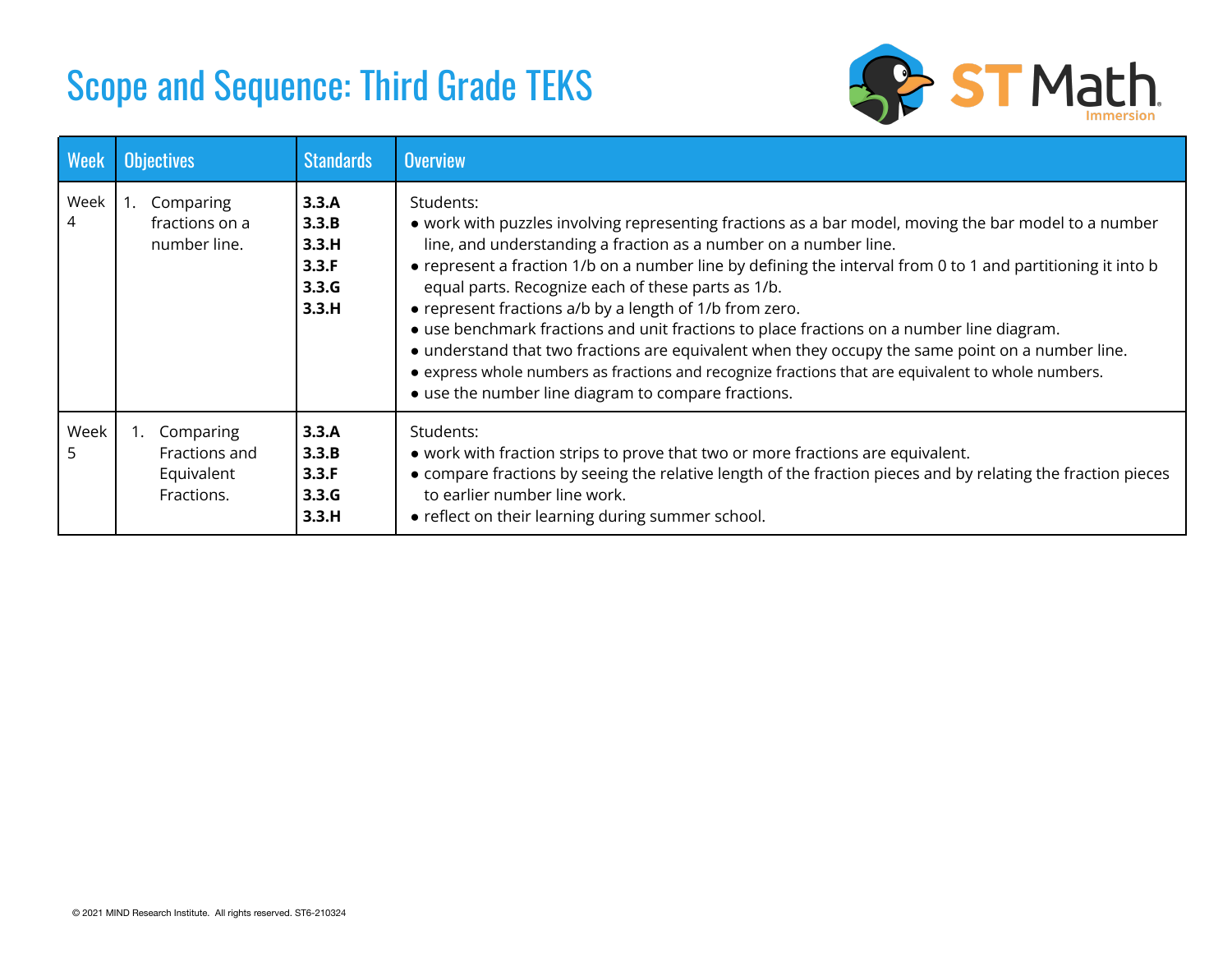

| <b>Week</b>            | <b>Objectives</b>                                            | <b>Standards</b>                                   | <b>Overview</b>                                                                                                                                                                                                                                                                                                                                                                                                                                                                                                                                                                                                                                                                                                                                                                      |
|------------------------|--------------------------------------------------------------|----------------------------------------------------|--------------------------------------------------------------------------------------------------------------------------------------------------------------------------------------------------------------------------------------------------------------------------------------------------------------------------------------------------------------------------------------------------------------------------------------------------------------------------------------------------------------------------------------------------------------------------------------------------------------------------------------------------------------------------------------------------------------------------------------------------------------------------------------|
| Week<br>$\overline{4}$ | 1. Comparing<br>fractions on a<br>number line.               | 3.3.A<br>3.3.B<br>3.3.H<br>3.3.F<br>3.3.G<br>3.3.H | Students:<br>• work with puzzles involving representing fractions as a bar model, moving the bar model to a number<br>line, and understanding a fraction as a number on a number line.<br>• represent a fraction 1/b on a number line by defining the interval from 0 to 1 and partitioning it into b<br>equal parts. Recognize each of these parts as 1/b.<br>• represent fractions a/b by a length of 1/b from zero.<br>• use benchmark fractions and unit fractions to place fractions on a number line diagram.<br>• understand that two fractions are equivalent when they occupy the same point on a number line.<br>• express whole numbers as fractions and recognize fractions that are equivalent to whole numbers.<br>• use the number line diagram to compare fractions. |
| Week<br>5              | Comparing<br>1.<br>Fractions and<br>Equivalent<br>Fractions. | 3.3.A<br>3.3.B<br>3.3.F<br>3.3.G<br>3.3.H          | Students:<br>• work with fraction strips to prove that two or more fractions are equivalent.<br>• compare fractions by seeing the relative length of the fraction pieces and by relating the fraction pieces<br>to earlier number line work.<br>• reflect on their learning during summer school.                                                                                                                                                                                                                                                                                                                                                                                                                                                                                    |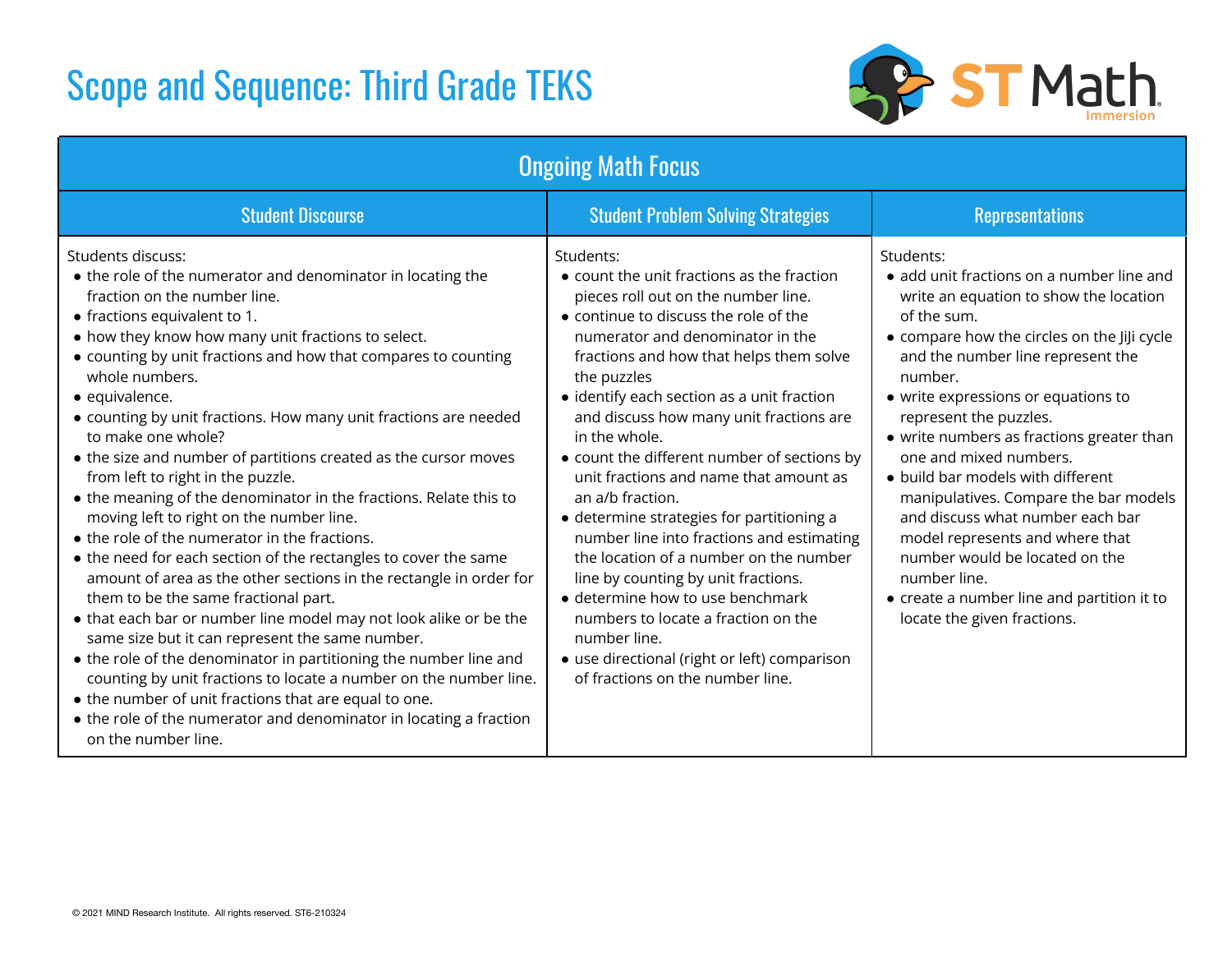

|                                                                                                                                                                                                                                                                                                                                                                                                                                                                                                                                                                                                                                                                                                                                                                                                                                                                                                                                                                                                                                                                                                                                                                                                                                                                                           | <b>Ongoing Math Focus</b>                                                                                                                                                                                                                                                                                                                                                                                                                                                                                                                                                                                                                                                                                                                                                                                                      |                                                                                                                                                                                                                                                                                                                                                                                                                                                                                                                                                                                                                                            |
|-------------------------------------------------------------------------------------------------------------------------------------------------------------------------------------------------------------------------------------------------------------------------------------------------------------------------------------------------------------------------------------------------------------------------------------------------------------------------------------------------------------------------------------------------------------------------------------------------------------------------------------------------------------------------------------------------------------------------------------------------------------------------------------------------------------------------------------------------------------------------------------------------------------------------------------------------------------------------------------------------------------------------------------------------------------------------------------------------------------------------------------------------------------------------------------------------------------------------------------------------------------------------------------------|--------------------------------------------------------------------------------------------------------------------------------------------------------------------------------------------------------------------------------------------------------------------------------------------------------------------------------------------------------------------------------------------------------------------------------------------------------------------------------------------------------------------------------------------------------------------------------------------------------------------------------------------------------------------------------------------------------------------------------------------------------------------------------------------------------------------------------|--------------------------------------------------------------------------------------------------------------------------------------------------------------------------------------------------------------------------------------------------------------------------------------------------------------------------------------------------------------------------------------------------------------------------------------------------------------------------------------------------------------------------------------------------------------------------------------------------------------------------------------------|
| <b>Student Discourse</b>                                                                                                                                                                                                                                                                                                                                                                                                                                                                                                                                                                                                                                                                                                                                                                                                                                                                                                                                                                                                                                                                                                                                                                                                                                                                  | <b>Student Problem Solving Strategies</b>                                                                                                                                                                                                                                                                                                                                                                                                                                                                                                                                                                                                                                                                                                                                                                                      | <b>Representations</b>                                                                                                                                                                                                                                                                                                                                                                                                                                                                                                                                                                                                                     |
| Students discuss:<br>• the role of the numerator and denominator in locating the<br>fraction on the number line.<br>• fractions equivalent to 1.<br>• how they know how many unit fractions to select.<br>• counting by unit fractions and how that compares to counting<br>whole numbers.<br>· equivalence.<br>• counting by unit fractions. How many unit fractions are needed<br>to make one whole?<br>• the size and number of partitions created as the cursor moves<br>from left to right in the puzzle.<br>• the meaning of the denominator in the fractions. Relate this to<br>moving left to right on the number line.<br>• the role of the numerator in the fractions.<br>• the need for each section of the rectangles to cover the same<br>amount of area as the other sections in the rectangle in order for<br>them to be the same fractional part.<br>• that each bar or number line model may not look alike or be the<br>same size but it can represent the same number.<br>• the role of the denominator in partitioning the number line and<br>counting by unit fractions to locate a number on the number line.<br>• the number of unit fractions that are equal to one.<br>• the role of the numerator and denominator in locating a fraction<br>on the number line. | Students:<br>$\bullet$ count the unit fractions as the fraction<br>pieces roll out on the number line.<br>• continue to discuss the role of the<br>numerator and denominator in the<br>fractions and how that helps them solve<br>the puzzles<br>• identify each section as a unit fraction<br>and discuss how many unit fractions are<br>in the whole.<br>• count the different number of sections by<br>unit fractions and name that amount as<br>an a/b fraction.<br>• determine strategies for partitioning a<br>number line into fractions and estimating<br>the location of a number on the number<br>line by counting by unit fractions.<br>• determine how to use benchmark<br>numbers to locate a fraction on the<br>number line.<br>• use directional (right or left) comparison<br>of fractions on the number line. | Students:<br>• add unit fractions on a number line and<br>write an equation to show the location<br>of the sum.<br>• compare how the circles on the JiJi cycle<br>and the number line represent the<br>number.<br>• write expressions or equations to<br>represent the puzzles.<br>• write numbers as fractions greater than<br>one and mixed numbers.<br>• build bar models with different<br>manipulatives. Compare the bar models<br>and discuss what number each bar<br>model represents and where that<br>number would be located on the<br>number line.<br>• create a number line and partition it to<br>locate the given fractions. |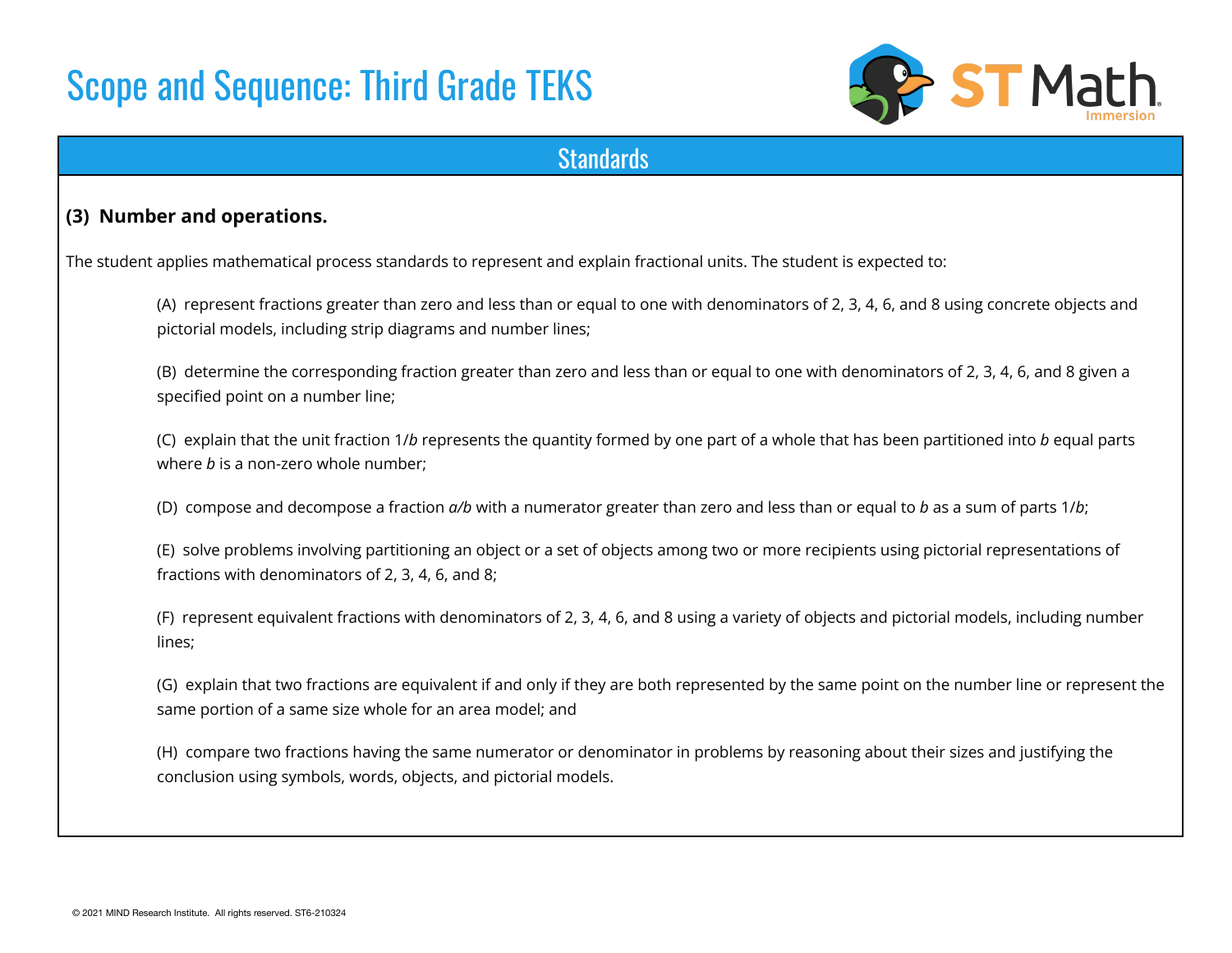

### **Standards**

#### **(3) Number and operations.**

The student applies mathematical process standards to represent and explain fractional units. The student is expected to:

(A) represent fractions greater than zero and less than or equal to one with denominators of 2, 3, 4, 6, and 8 using concrete objects and pictorial models, including strip diagrams and number lines;

(B) determine the corresponding fraction greater than zero and less than or equal to one with denominators of 2, 3, 4, 6, and 8 given a specified point on a number line;

(C) explain that the unit fraction 1/*b* represents the quantity formed by one part of a whole that has been partitioned into *b* equal parts where *b* is a non-zero whole number;

(D) compose and decompose a fraction *a/b* with a numerator greater than zero and less than or equal to *b* as a sum of parts 1/*b*;

(E) solve problems involving partitioning an object or a set of objects among two or more recipients using pictorial representations of fractions with denominators of 2, 3, 4, 6, and 8;

(F) represent equivalent fractions with denominators of 2, 3, 4, 6, and 8 using a variety of objects and pictorial models, including number lines;

(G) explain that two fractions are equivalent if and only if they are both represented by the same point on the number line or represent the same portion of a same size whole for an area model; and

(H) compare two fractions having the same numerator or denominator in problems by reasoning about their sizes and justifying the conclusion using symbols, words, objects, and pictorial models.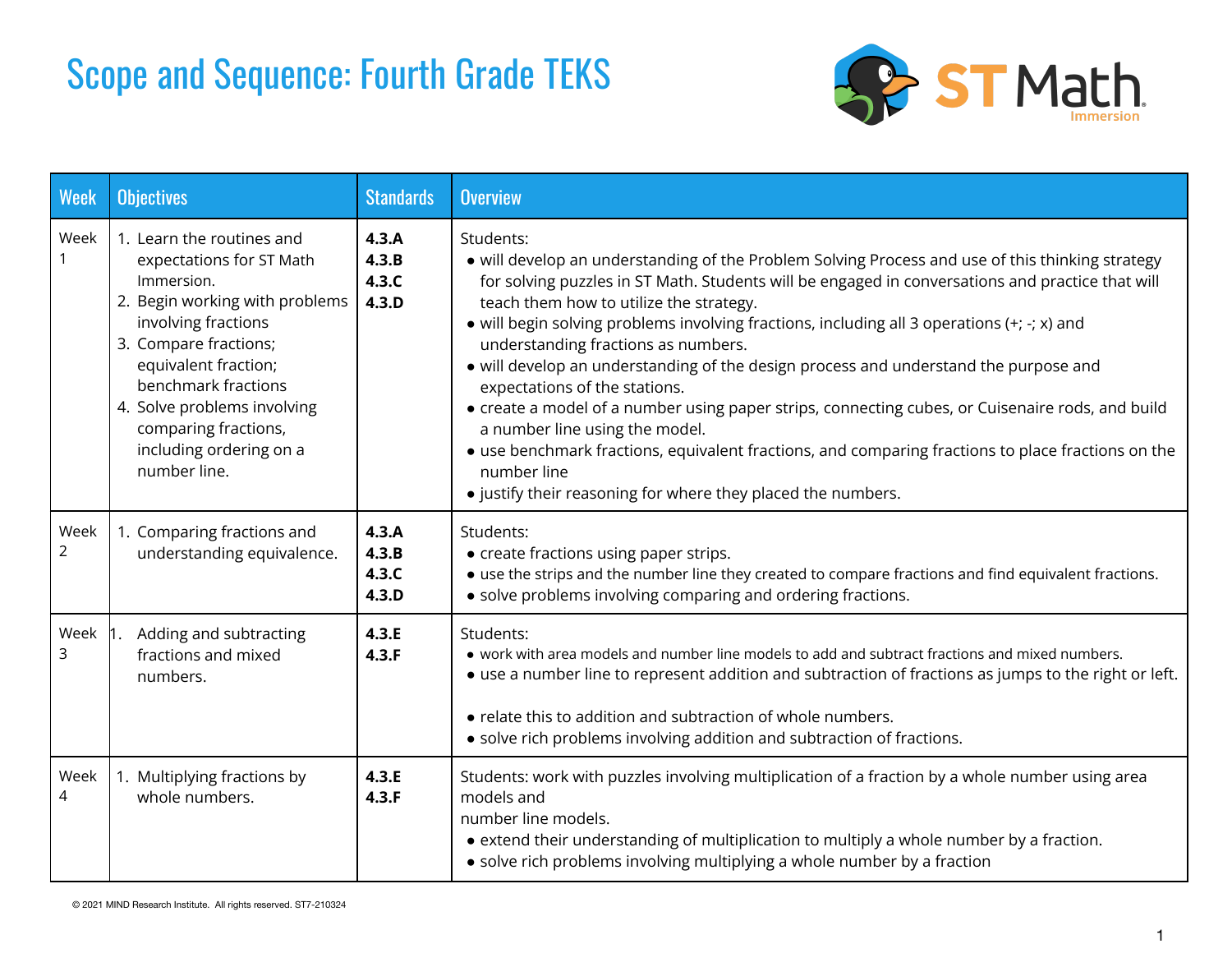### Scope and Sequence: Fourth Grade TEKS



| <b>Week</b>  | <b>Objectives</b>                                                                                                                                                                                                                                                                                      | <b>Standards</b>                 | <b>Overview</b>                                                                                                                                                                                                                                                                                                                                                                                                                                                                                                                                                                                                                                                                                                                                                                                                                                          |  |
|--------------|--------------------------------------------------------------------------------------------------------------------------------------------------------------------------------------------------------------------------------------------------------------------------------------------------------|----------------------------------|----------------------------------------------------------------------------------------------------------------------------------------------------------------------------------------------------------------------------------------------------------------------------------------------------------------------------------------------------------------------------------------------------------------------------------------------------------------------------------------------------------------------------------------------------------------------------------------------------------------------------------------------------------------------------------------------------------------------------------------------------------------------------------------------------------------------------------------------------------|--|
| Week         | 1. Learn the routines and<br>expectations for ST Math<br>Immersion.<br>2. Begin working with problems<br>involving fractions<br>3. Compare fractions;<br>equivalent fraction;<br>benchmark fractions<br>4. Solve problems involving<br>comparing fractions,<br>including ordering on a<br>number line. | 4.3.A<br>4.3.B<br>4.3.C<br>4.3.D | Students:<br>• will develop an understanding of the Problem Solving Process and use of this thinking strategy<br>for solving puzzles in ST Math. Students will be engaged in conversations and practice that will<br>teach them how to utilize the strategy.<br>• will begin solving problems involving fractions, including all 3 operations $(+; -; x)$ and<br>understanding fractions as numbers.<br>• will develop an understanding of the design process and understand the purpose and<br>expectations of the stations.<br>• create a model of a number using paper strips, connecting cubes, or Cuisenaire rods, and build<br>a number line using the model.<br>• use benchmark fractions, equivalent fractions, and comparing fractions to place fractions on the<br>number line<br>• justify their reasoning for where they placed the numbers. |  |
| Week<br>2    | 1. Comparing fractions and<br>understanding equivalence.                                                                                                                                                                                                                                               | 4.3.A<br>4.3.B<br>4.3.C<br>4.3.D | Students:<br>• create fractions using paper strips.<br>• use the strips and the number line they created to compare fractions and find equivalent fractions.<br>• solve problems involving comparing and ordering fractions.                                                                                                                                                                                                                                                                                                                                                                                                                                                                                                                                                                                                                             |  |
| Week 1.<br>3 | Adding and subtracting<br>fractions and mixed<br>numbers.                                                                                                                                                                                                                                              | 4.3.E<br>4.3.F                   | Students:<br>• work with area models and number line models to add and subtract fractions and mixed numbers.<br>• use a number line to represent addition and subtraction of fractions as jumps to the right or left.<br>• relate this to addition and subtraction of whole numbers.<br>• solve rich problems involving addition and subtraction of fractions.                                                                                                                                                                                                                                                                                                                                                                                                                                                                                           |  |
| Week<br>4    | 1. Multiplying fractions by<br>whole numbers.                                                                                                                                                                                                                                                          | 4.3.E<br>4.3.F                   | Students: work with puzzles involving multiplication of a fraction by a whole number using area<br>models and<br>number line models.<br>• extend their understanding of multiplication to multiply a whole number by a fraction.<br>• solve rich problems involving multiplying a whole number by a fraction                                                                                                                                                                                                                                                                                                                                                                                                                                                                                                                                             |  |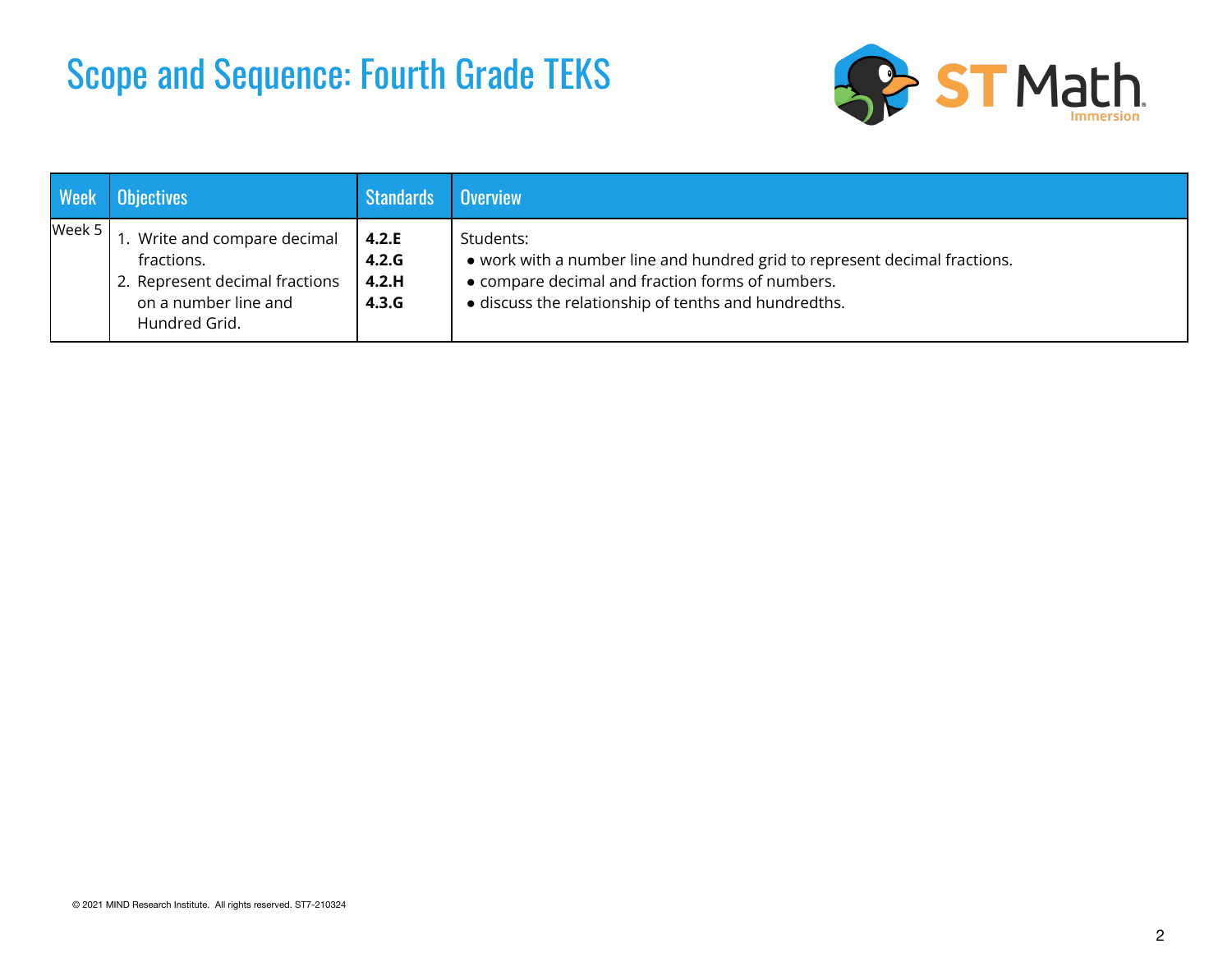### Scope and Sequence: Fourth Grade TEKS



| <b>Week</b> | <b>Objectives</b>                                                                                                     | <b>Standards</b>                 | <b>Overview</b>                                                                                                                                                                                     |
|-------------|-----------------------------------------------------------------------------------------------------------------------|----------------------------------|-----------------------------------------------------------------------------------------------------------------------------------------------------------------------------------------------------|
| Week 5      | 1. Write and compare decimal<br>fractions.<br>2. Represent decimal fractions<br>on a number line and<br>Hundred Grid. | 4.2.E<br>4.2.G<br>4.2.H<br>4.3.G | Students:<br>• work with a number line and hundred grid to represent decimal fractions.<br>• compare decimal and fraction forms of numbers.<br>· discuss the relationship of tenths and hundredths. |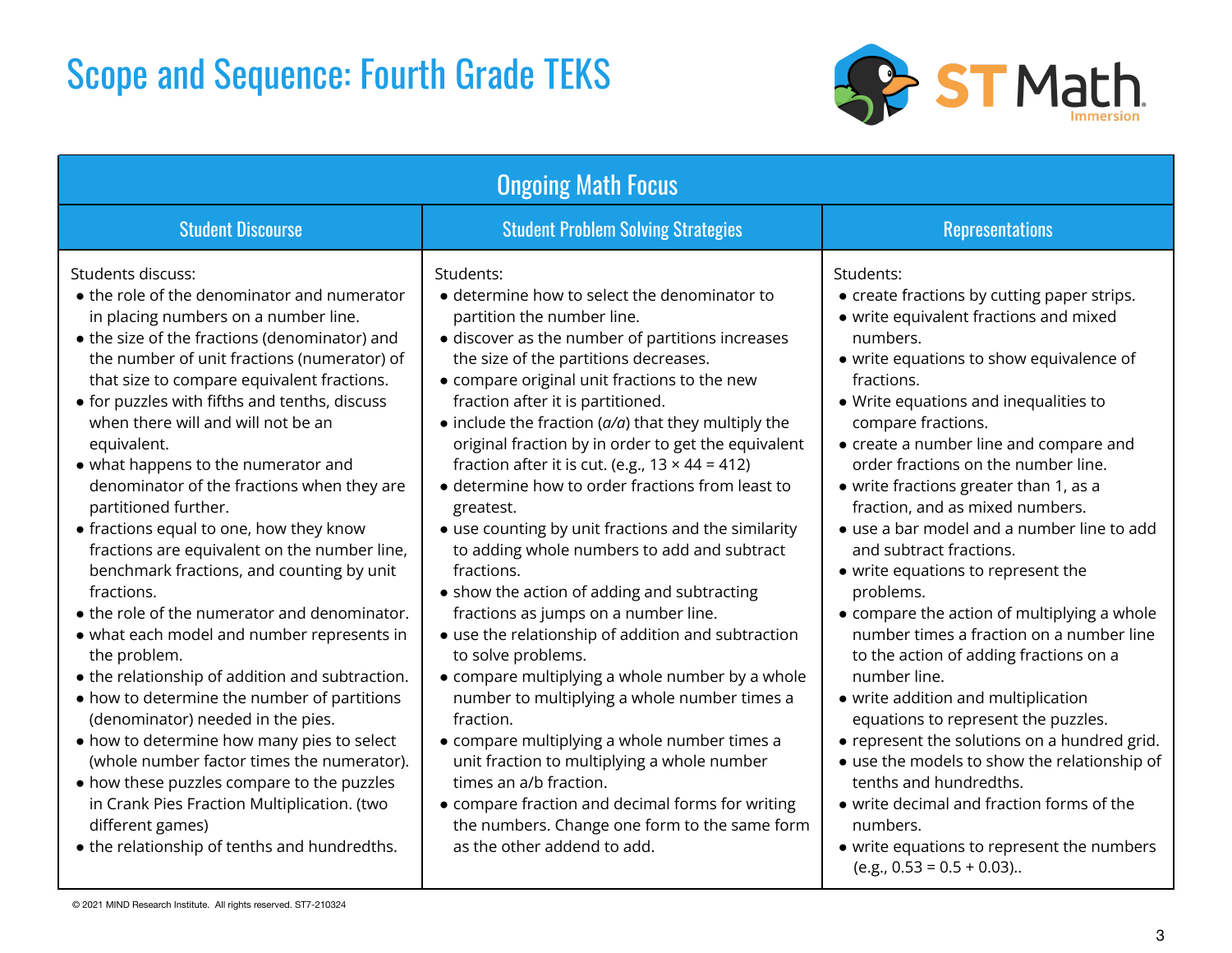### Scope and Sequence: Fourth Grade TEKS



| <b>Ongoing Math Focus</b>                                                                                                                                                                                                                                                                                                                                                                                                                                                                                                                                                                                                                                                                                                                                                                                                                                                                                                                                                                                                                                                                                                                         |                                                                                                                                                                                                                                                                                                                                                                                                                                                                                                                                                                                                                                                                                                                                                                                                                                                                                                                                                                                                                                                                                                                                                                                                     |                                                                                                                                                                                                                                                                                                                                                                                                                                                                                                                                                                                                                                                                                                                                                                                                                                                                                                                                                                                                                                       |  |  |  |
|---------------------------------------------------------------------------------------------------------------------------------------------------------------------------------------------------------------------------------------------------------------------------------------------------------------------------------------------------------------------------------------------------------------------------------------------------------------------------------------------------------------------------------------------------------------------------------------------------------------------------------------------------------------------------------------------------------------------------------------------------------------------------------------------------------------------------------------------------------------------------------------------------------------------------------------------------------------------------------------------------------------------------------------------------------------------------------------------------------------------------------------------------|-----------------------------------------------------------------------------------------------------------------------------------------------------------------------------------------------------------------------------------------------------------------------------------------------------------------------------------------------------------------------------------------------------------------------------------------------------------------------------------------------------------------------------------------------------------------------------------------------------------------------------------------------------------------------------------------------------------------------------------------------------------------------------------------------------------------------------------------------------------------------------------------------------------------------------------------------------------------------------------------------------------------------------------------------------------------------------------------------------------------------------------------------------------------------------------------------------|---------------------------------------------------------------------------------------------------------------------------------------------------------------------------------------------------------------------------------------------------------------------------------------------------------------------------------------------------------------------------------------------------------------------------------------------------------------------------------------------------------------------------------------------------------------------------------------------------------------------------------------------------------------------------------------------------------------------------------------------------------------------------------------------------------------------------------------------------------------------------------------------------------------------------------------------------------------------------------------------------------------------------------------|--|--|--|
| <b>Student Discourse</b>                                                                                                                                                                                                                                                                                                                                                                                                                                                                                                                                                                                                                                                                                                                                                                                                                                                                                                                                                                                                                                                                                                                          | <b>Student Problem Solving Strategies</b>                                                                                                                                                                                                                                                                                                                                                                                                                                                                                                                                                                                                                                                                                                                                                                                                                                                                                                                                                                                                                                                                                                                                                           | <b>Representations</b>                                                                                                                                                                                                                                                                                                                                                                                                                                                                                                                                                                                                                                                                                                                                                                                                                                                                                                                                                                                                                |  |  |  |
| Students discuss:<br>• the role of the denominator and numerator<br>in placing numbers on a number line.<br>• the size of the fractions (denominator) and<br>the number of unit fractions (numerator) of<br>that size to compare equivalent fractions.<br>• for puzzles with fifths and tenths, discuss<br>when there will and will not be an<br>equivalent.<br>• what happens to the numerator and<br>denominator of the fractions when they are<br>partitioned further.<br>• fractions equal to one, how they know<br>fractions are equivalent on the number line,<br>benchmark fractions, and counting by unit<br>fractions.<br>• the role of the numerator and denominator.<br>• what each model and number represents in<br>the problem.<br>• the relationship of addition and subtraction.<br>• how to determine the number of partitions<br>(denominator) needed in the pies.<br>• how to determine how many pies to select<br>(whole number factor times the numerator).<br>• how these puzzles compare to the puzzles<br>in Crank Pies Fraction Multiplication. (two<br>different games)<br>• the relationship of tenths and hundredths. | Students:<br>• determine how to select the denominator to<br>partition the number line.<br>• discover as the number of partitions increases<br>the size of the partitions decreases.<br>• compare original unit fractions to the new<br>fraction after it is partitioned.<br>$\bullet$ include the fraction ( $a/a$ ) that they multiply the<br>original fraction by in order to get the equivalent<br>fraction after it is cut. (e.g., $13 \times 44 = 412$ )<br>• determine how to order fractions from least to<br>greatest.<br>• use counting by unit fractions and the similarity<br>to adding whole numbers to add and subtract<br>fractions.<br>• show the action of adding and subtracting<br>fractions as jumps on a number line.<br>• use the relationship of addition and subtraction<br>to solve problems.<br>• compare multiplying a whole number by a whole<br>number to multiplying a whole number times a<br>fraction.<br>• compare multiplying a whole number times a<br>unit fraction to multiplying a whole number<br>times an a/b fraction.<br>• compare fraction and decimal forms for writing<br>the numbers. Change one form to the same form<br>as the other addend to add. | Students:<br>• create fractions by cutting paper strips.<br>• write equivalent fractions and mixed<br>numbers.<br>• write equations to show equivalence of<br>fractions.<br>• Write equations and inequalities to<br>compare fractions.<br>• create a number line and compare and<br>order fractions on the number line.<br>• write fractions greater than 1, as a<br>fraction, and as mixed numbers.<br>• use a bar model and a number line to add<br>and subtract fractions.<br>• write equations to represent the<br>problems.<br>• compare the action of multiplying a whole<br>number times a fraction on a number line<br>to the action of adding fractions on a<br>number line.<br>• write addition and multiplication<br>equations to represent the puzzles.<br>• represent the solutions on a hundred grid.<br>• use the models to show the relationship of<br>tenths and hundredths.<br>• write decimal and fraction forms of the<br>numbers.<br>• write equations to represent the numbers<br>$(e.g., 0.53 = 0.5 + 0.03).$ |  |  |  |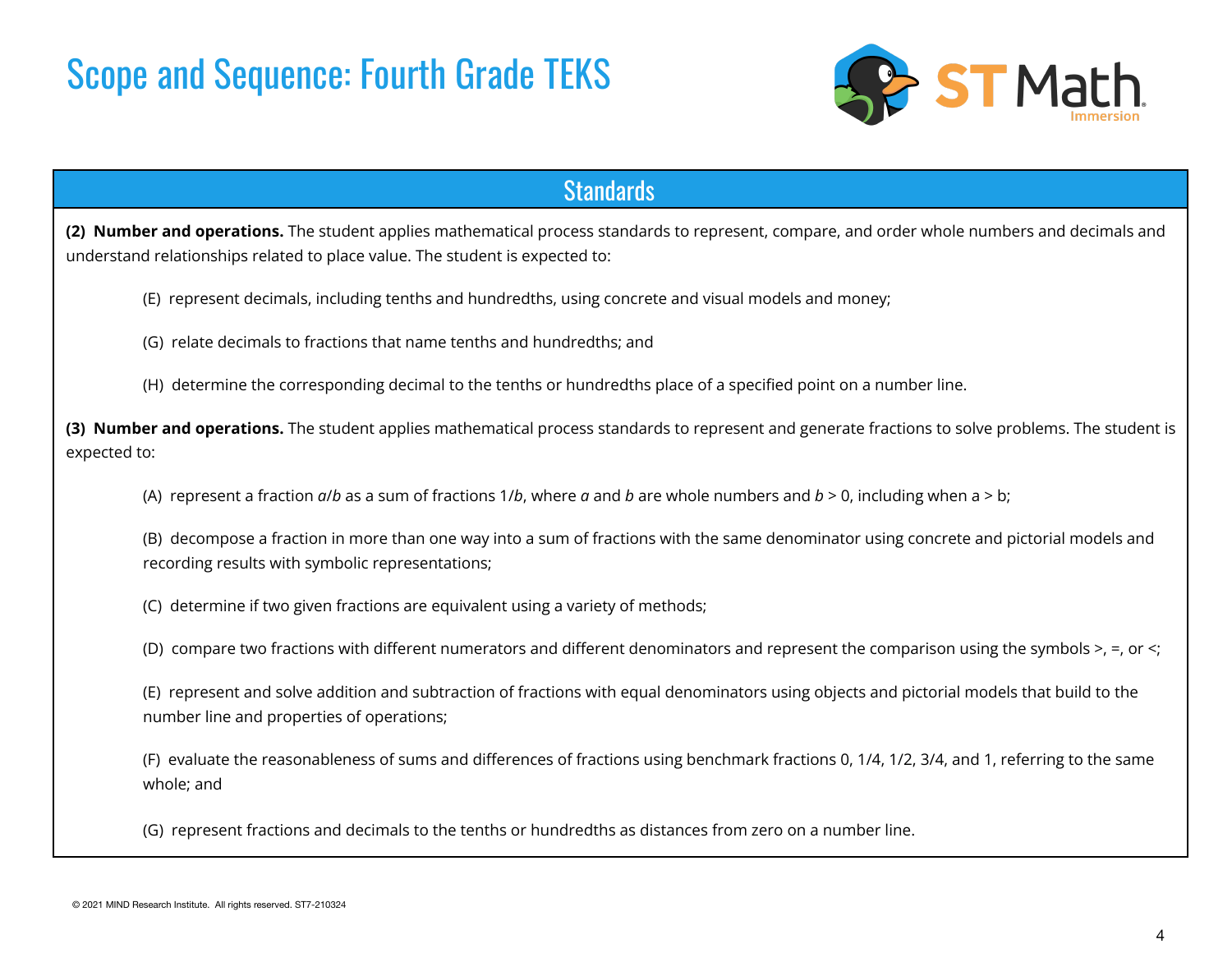

### **Standards**

**(2) Number and operations.** The student applies mathematical process standards to represent, compare, and order whole numbers and decimals and understand relationships related to place value. The student is expected to:

- (E) represent decimals, including tenths and hundredths, using concrete and visual models and money;
- (G) relate decimals to fractions that name tenths and hundredths; and
- (H) determine the corresponding decimal to the tenths or hundredths place of a specified point on a number line.

**(3) Number and operations.** The student applies mathematical process standards to represent and generate fractions to solve problems. The student is expected to:

- (A) represent a fraction *a*/*b* as a sum of fractions 1/*b*, where *a* and *b* are whole numbers and *b* > 0, including when a > b;
- (B) decompose a fraction in more than one way into a sum of fractions with the same denominator using concrete and pictorial models and recording results with symbolic representations;
- (C) determine if two given fractions are equivalent using a variety of methods;
- (D) compare two fractions with different numerators and different denominators and represent the comparison using the symbols >, =, or <;
- (E) represent and solve addition and subtraction of fractions with equal denominators using objects and pictorial models that build to the number line and properties of operations;
- (F) evaluate the reasonableness of sums and differences of fractions using benchmark fractions 0, 1/4, 1/2, 3/4, and 1, referring to the same whole; and
- (G) represent fractions and decimals to the tenths or hundredths as distances from zero on a number line.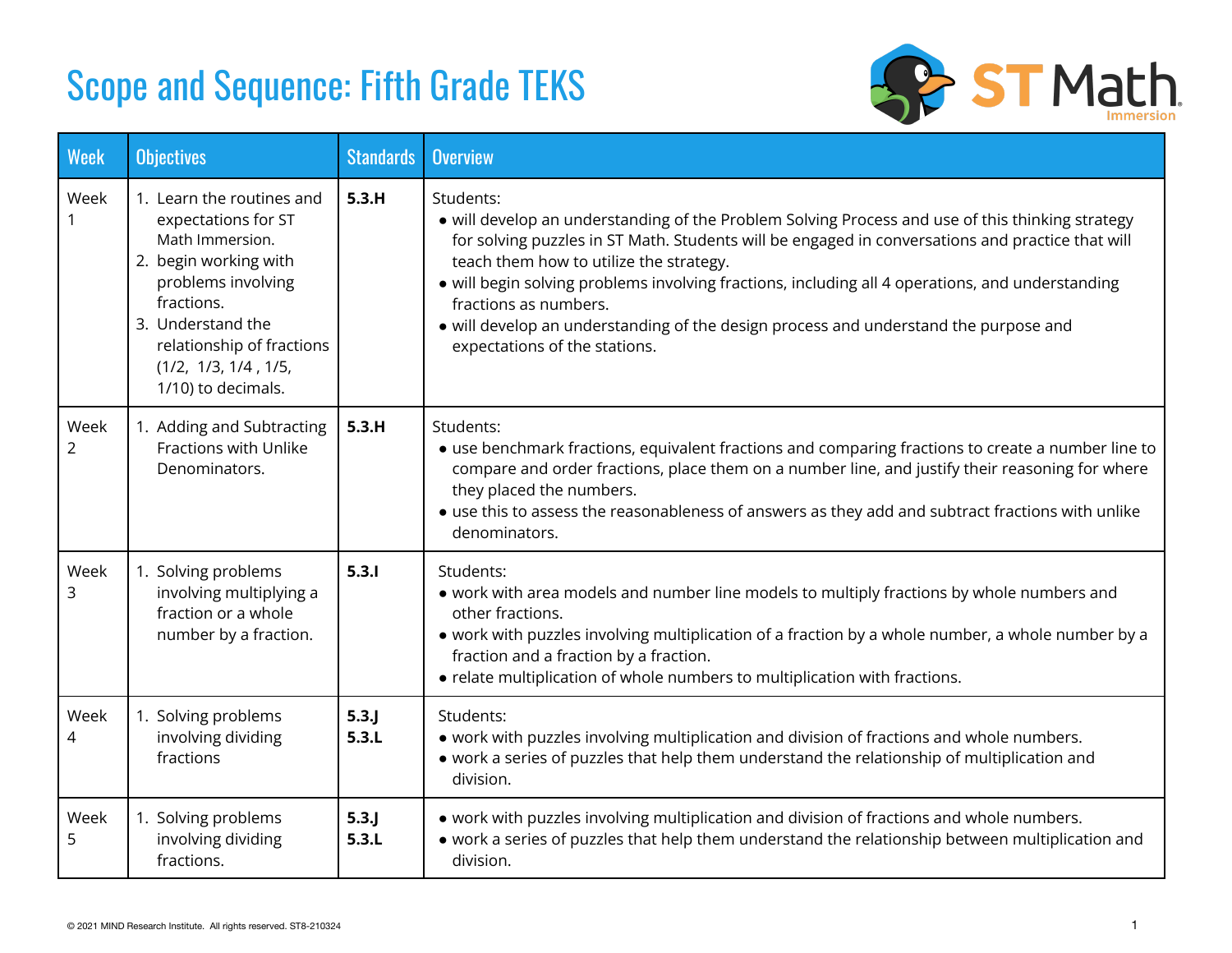## Scope and Sequence: Fifth Grade TEKS



| <b>Week</b>            | <b>Objectives</b>                                                                                                                                                                                                                | <b>Standards</b> | <b>Overview</b>                                                                                                                                                                                                                                                                                                                                                                                                                                                                                                    |
|------------------------|----------------------------------------------------------------------------------------------------------------------------------------------------------------------------------------------------------------------------------|------------------|--------------------------------------------------------------------------------------------------------------------------------------------------------------------------------------------------------------------------------------------------------------------------------------------------------------------------------------------------------------------------------------------------------------------------------------------------------------------------------------------------------------------|
| Week                   | 1. Learn the routines and<br>expectations for ST<br>Math Immersion.<br>2. begin working with<br>problems involving<br>fractions.<br>3. Understand the<br>relationship of fractions<br>(1/2, 1/3, 1/4, 1/5,<br>1/10) to decimals. | 5.3.H            | Students:<br>• will develop an understanding of the Problem Solving Process and use of this thinking strategy<br>for solving puzzles in ST Math. Students will be engaged in conversations and practice that will<br>teach them how to utilize the strategy.<br>· will begin solving problems involving fractions, including all 4 operations, and understanding<br>fractions as numbers.<br>• will develop an understanding of the design process and understand the purpose and<br>expectations of the stations. |
| Week<br>$\overline{2}$ | 1. Adding and Subtracting<br>Fractions with Unlike<br>Denominators.                                                                                                                                                              | 5.3.H            | Students:<br>• use benchmark fractions, equivalent fractions and comparing fractions to create a number line to<br>compare and order fractions, place them on a number line, and justify their reasoning for where<br>they placed the numbers.<br>• use this to assess the reasonableness of answers as they add and subtract fractions with unlike<br>denominators.                                                                                                                                               |
| Week<br>3              | 1. Solving problems<br>involving multiplying a<br>fraction or a whole<br>number by a fraction.                                                                                                                                   | 5.3.1            | Students:<br>. work with area models and number line models to multiply fractions by whole numbers and<br>other fractions.<br>• work with puzzles involving multiplication of a fraction by a whole number, a whole number by a<br>fraction and a fraction by a fraction.<br>• relate multiplication of whole numbers to multiplication with fractions.                                                                                                                                                            |
| Week<br>4              | 1. Solving problems<br>involving dividing<br>fractions                                                                                                                                                                           | $5.3$ .<br>5.3.L | Students:<br>• work with puzzles involving multiplication and division of fractions and whole numbers.<br>• work a series of puzzles that help them understand the relationship of multiplication and<br>division.                                                                                                                                                                                                                                                                                                 |
| Week<br>5              | 1. Solving problems<br>involving dividing<br>fractions.                                                                                                                                                                          | $5.3$ .<br>5.3.L | • work with puzzles involving multiplication and division of fractions and whole numbers.<br>• work a series of puzzles that help them understand the relationship between multiplication and<br>division.                                                                                                                                                                                                                                                                                                         |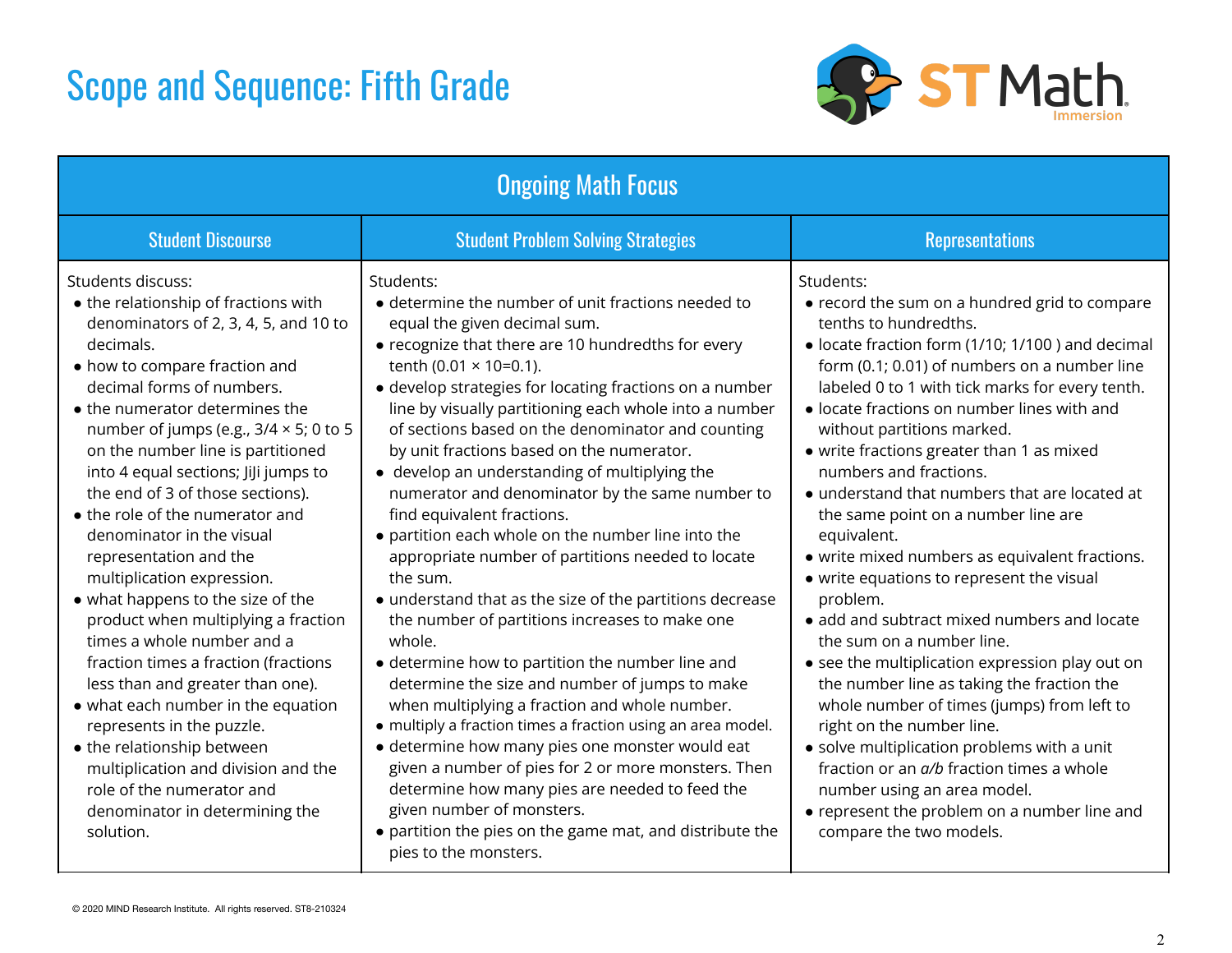### Scope and Sequence: Fifth Grade



| <b>Ongoing Math Focus</b>                                                                                                                                                                                                                                                                                                                                                                                                                                                                                                                                                                                                                                                                                                                                                                                                                                                                                            |                                                                                                                                                                                                                                                                                                                                                                                                                                                                                                                                                                                                                                                                                                                                                                                                                                                                                                                                                                                                                                                                                                                                                                                                                                                                                                    |                                                                                                                                                                                                                                                                                                                                                                                                                                                                                                                                                                                                                                                                                                                                                                                                                                                                                                                                                                                                                                                                                |  |  |  |  |
|----------------------------------------------------------------------------------------------------------------------------------------------------------------------------------------------------------------------------------------------------------------------------------------------------------------------------------------------------------------------------------------------------------------------------------------------------------------------------------------------------------------------------------------------------------------------------------------------------------------------------------------------------------------------------------------------------------------------------------------------------------------------------------------------------------------------------------------------------------------------------------------------------------------------|----------------------------------------------------------------------------------------------------------------------------------------------------------------------------------------------------------------------------------------------------------------------------------------------------------------------------------------------------------------------------------------------------------------------------------------------------------------------------------------------------------------------------------------------------------------------------------------------------------------------------------------------------------------------------------------------------------------------------------------------------------------------------------------------------------------------------------------------------------------------------------------------------------------------------------------------------------------------------------------------------------------------------------------------------------------------------------------------------------------------------------------------------------------------------------------------------------------------------------------------------------------------------------------------------|--------------------------------------------------------------------------------------------------------------------------------------------------------------------------------------------------------------------------------------------------------------------------------------------------------------------------------------------------------------------------------------------------------------------------------------------------------------------------------------------------------------------------------------------------------------------------------------------------------------------------------------------------------------------------------------------------------------------------------------------------------------------------------------------------------------------------------------------------------------------------------------------------------------------------------------------------------------------------------------------------------------------------------------------------------------------------------|--|--|--|--|
| <b>Student Discourse</b>                                                                                                                                                                                                                                                                                                                                                                                                                                                                                                                                                                                                                                                                                                                                                                                                                                                                                             | <b>Student Problem Solving Strategies</b>                                                                                                                                                                                                                                                                                                                                                                                                                                                                                                                                                                                                                                                                                                                                                                                                                                                                                                                                                                                                                                                                                                                                                                                                                                                          | <b>Representations</b>                                                                                                                                                                                                                                                                                                                                                                                                                                                                                                                                                                                                                                                                                                                                                                                                                                                                                                                                                                                                                                                         |  |  |  |  |
| Students discuss:<br>• the relationship of fractions with<br>denominators of 2, 3, 4, 5, and 10 to<br>decimals.<br>• how to compare fraction and<br>decimal forms of numbers.<br>• the numerator determines the<br>number of jumps (e.g., $3/4 \times 5$ ; 0 to 5<br>on the number line is partitioned<br>into 4 equal sections; JiJi jumps to<br>the end of 3 of those sections).<br>• the role of the numerator and<br>denominator in the visual<br>representation and the<br>multiplication expression.<br>• what happens to the size of the<br>product when multiplying a fraction<br>times a whole number and a<br>fraction times a fraction (fractions<br>less than and greater than one).<br>• what each number in the equation<br>represents in the puzzle.<br>• the relationship between<br>multiplication and division and the<br>role of the numerator and<br>denominator in determining the<br>solution. | Students:<br>• determine the number of unit fractions needed to<br>equal the given decimal sum.<br>• recognize that there are 10 hundredths for every<br>tenth (0.01 $\times$ 10=0.1).<br>• develop strategies for locating fractions on a number<br>line by visually partitioning each whole into a number<br>of sections based on the denominator and counting<br>by unit fractions based on the numerator.<br>• develop an understanding of multiplying the<br>numerator and denominator by the same number to<br>find equivalent fractions.<br>• partition each whole on the number line into the<br>appropriate number of partitions needed to locate<br>the sum.<br>• understand that as the size of the partitions decrease<br>the number of partitions increases to make one<br>whole.<br>• determine how to partition the number line and<br>determine the size and number of jumps to make<br>when multiplying a fraction and whole number.<br>• multiply a fraction times a fraction using an area model.<br>• determine how many pies one monster would eat<br>given a number of pies for 2 or more monsters. Then<br>determine how many pies are needed to feed the<br>given number of monsters.<br>• partition the pies on the game mat, and distribute the<br>pies to the monsters. | Students:<br>• record the sum on a hundred grid to compare<br>tenths to hundredths.<br>• locate fraction form (1/10; 1/100) and decimal<br>form (0.1; 0.01) of numbers on a number line<br>labeled 0 to 1 with tick marks for every tenth.<br>· locate fractions on number lines with and<br>without partitions marked.<br>• write fractions greater than 1 as mixed<br>numbers and fractions.<br>• understand that numbers that are located at<br>the same point on a number line are<br>equivalent.<br>• write mixed numbers as equivalent fractions.<br>• write equations to represent the visual<br>problem.<br>• add and subtract mixed numbers and locate<br>the sum on a number line.<br>• see the multiplication expression play out on<br>the number line as taking the fraction the<br>whole number of times (jumps) from left to<br>right on the number line.<br>• solve multiplication problems with a unit<br>fraction or an a/b fraction times a whole<br>number using an area model.<br>• represent the problem on a number line and<br>compare the two models. |  |  |  |  |